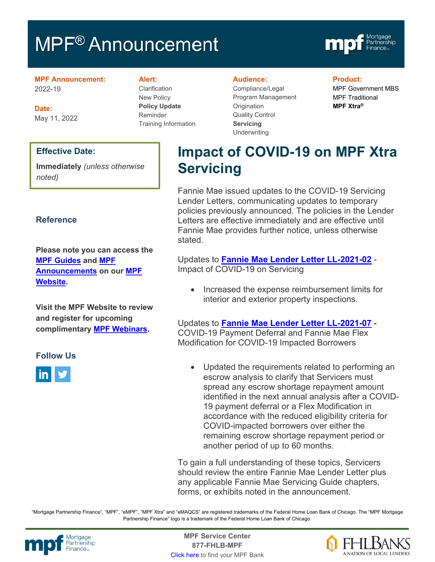# MPF<sup>®</sup> Announcement



**MPF Announcement:** 2022-19

**Date:** May 11, 2022

#### **Effective Date:**

**Immediately** *(unless otherwise noted)*

#### **Reference**

**Please note you can access the [MPF Guides](https://fhlbmpf.com/mpf-guides/guides) and [MPF](https://fhlbmpf.com/mpf-guides/announcements)  [Announcements](https://fhlbmpf.com/mpf-guides/announcements) on our [MPF](https://fhlbmpf.com/)  [Website.](https://fhlbmpf.com/)** 

**Visit the MPF Website to review and register for upcoming complimentary [MPF Webinars.](https://www.fhlbmpf.com/education/upcoming-webinars)**

#### **Follow Us**



**Alert:**

**Clarification** New Policy **Policy Update** Reminder Training Information

#### **Audience:**

Compliance/Legal Program Management **Origination** Quality Control **Servicing Underwriting** 

#### **Product:**

MPF Government MBS MPF Traditional **MPF Xtra®**

# **Impact of COVID-19 on MPF Xtra Servicing**

Fannie Mae issued updates to the COVID-19 Servicing Lender Letters, communicating updates to temporary policies previously announced. The policies in the Lender Letters are effective immediately and are effective until Fannie Mae provides further notice, unless otherwise stated.

Updates to **[Fannie Mae Lender Letter LL-2021-02](https://singlefamily.fanniemae.com/media/24891/display)** - Impact of COVID-19 on Servicing

• Increased the expense reimbursement limits for interior and exterior property inspections.

Updates to **[Fannie Mae Lender Letter LL-2021-07](https://singlefamily.fanniemae.com/media/25121/display)** - COVID-19 Payment Deferral and Fannie Mae Flex Modification for COVID-19 Impacted Borrowers

• Updated the requirements related to performing an escrow analysis to clarify that Servicers must spread any escrow shortage repayment amount identified in the next annual analysis after a COVID-19 payment deferral or a Flex Modification in accordance with the reduced eligibility criteria for COVID-impacted borrowers over either the remaining escrow shortage repayment period or another period of up to 60 months.

To gain a full understanding of these topics, Servicers should review the entire Fannie Mae Lender Letter plus any applicable Fannie Mae Servicing Guide chapters, forms, or exhibits noted in the announcement.

"Mortgage Partnership Finance", "MPF", "eMPF", "MPF Xtra" and "eMAQCS" are registered trademarks of the Federal Home Loan Bank of Chicago. The "MPF Mortgage Partnership Finance" logo is a trademark of the Federal Home Loan Bank of Chicago.



Mortgage **Center Service Center**<br>Partnership **Canadian Center Service Center**<br> **Partnership CALL SANGE CALL BANDE 877-FHLB-MPF** [Click here](https://www.fhlbmpf.com/fhlbanks/fhlbanks) to find your MPF Bank

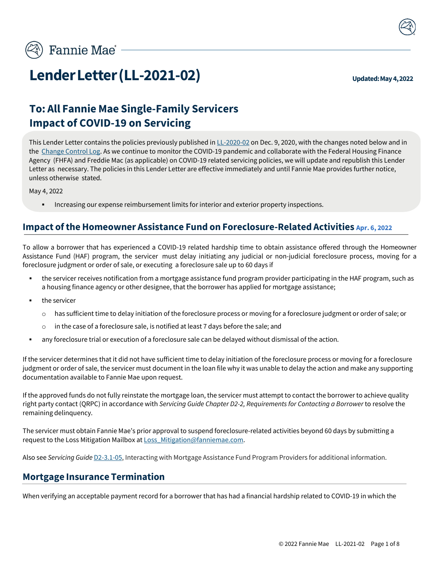

# **Lender Letter (LL-2021-02) Updated: May 4, 2022**

# **To: All Fannie Mae Single-Family Servicers Impact of COVID-19 on Servicing**

This Lender Letter contains the policies previously published i[n LL-2020-02](https://singlefamily.fanniemae.com/media/document/pdf/lender-letter-ll-2020-02-impact-covid-19-servicing) on Dec. 9, 2020, with the changes noted below and in the [Change Control Log. A](#page-8-0)s we continue to monitor the COVID-19 pandemic and collaborate with the Federal Housing Finance Agency (FHFA) and Freddie Mac (as applicable) on COVID-19 related servicing policies, we will update and republish this Lender Letter as necessary. The policies in this Lender Letter are effective immediately and until Fannie Mae provides further notice, unless otherwise stated.

May 4, 2022

**• Increasing our expense reimbursement limits for interior and exterior property inspections.** 

#### **Impact ofthe Homeowner Assistance Fund on Foreclosure-Related Activities Apr. 6, 2022**

To allow a borrower that has experienced a COVID-19 related hardship time to obtain assistance offered through the Homeowner Assistance Fund (HAF) program, the servicer must delay initiating any judicial or non-judicial foreclosure process, moving for a foreclosure judgment or order of sale, or executing a foreclosure sale up to 60 days if

- the servicer receives notification from a mortgage assistance fund program provider participating in the HAF program, such as a housing finance agency or other designee, that the borrower has applied for mortgage assistance;
- the servicer
	- o has sufficient time to delay initiation of the foreclosure process or moving for a foreclosure judgment or order of sale; or
	- o in the case of a foreclosure sale, is notified at least 7 days before the sale; and
- any foreclosure trial or execution of a foreclosure sale can be delayed without dismissal of the action.

If the servicer determines that it did not have sufficient time to delay initiation of the foreclosure process or moving for a foreclosure judgment or order of sale, the servicer must document in the loan file why it was unable to delay the action and make any supporting documentation available to Fannie Mae upon request.

If the approved funds do not fully reinstate the mortgage loan, the servicer must attempt to contact the borrower to achieve quality right party contact (QRPC) in accordance with *Servicing Guide Chapter D2-2, Requirements for Contacting a Borrower* to resolve the remaining delinquency.

The servicer must obtain Fannie Mae's prior approval to suspend foreclosure-related activities beyond 60 days by submitting a request to the Loss Mitigation Mailbox at Loss Mitigation@fanniemae.com.

Also see *Servicing Guide* [D2-3.1-05,](https://servicing-guide.fanniemae.com/THE-SERVICING-GUIDE/Part-D-Providing-Solutions-to-a-Borrower/Subpart-D2-Assisting-a-Borrower-Who-is-Facing-Default-or/Chapter-D2-3-Fannie-Mae-s-Home-Retention-and-Liquidation/Section-D2-3-1-Preparing-to-Implement-a-Home-Reten/D2-3-1-05-Interacting-with-Mortgage-Assistance-Fund-Program/1042394981/D2-3-1-05-Interacting-with-Mortgage-Assistance-Fund-Program-Providers-07-14-2021.htm?SearchType=sf) Interacting with Mortgage Assistance Fund Program Providers for additional information.

#### **Mortgage Insurance Termination**

When verifying an acceptable payment record for a borrower that has had a financial hardship related to COVID-19 in which the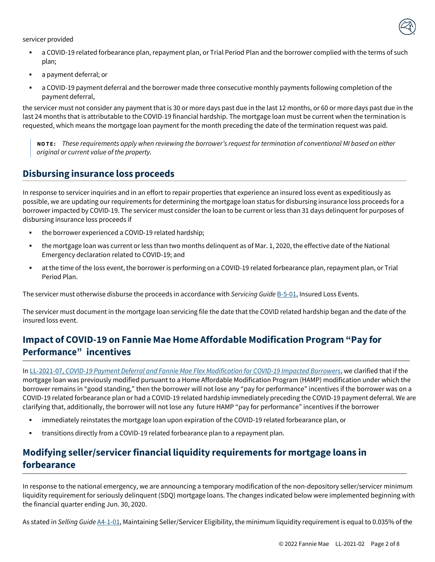

servicer provided

- a COVID-19 related forbearance plan, repayment plan, or Trial Period Plan and the borrower complied with the terms of such plan;
- a payment deferral; or
- a COVID-19 payment deferral and the borrower made three consecutive monthly payments following completion of the payment deferral,

the servicer must not consider any payment that is 30 or more days past due in the last 12 months, or 60 or more days past due in the last 24 months that is attributable to the COVID-19 financial hardship. The mortgage loan must be current when the termination is requested, which means the mortgage loan payment for the month preceding the date of the termination request was paid.

NOTE: These requirements apply when reviewing the borrower's request for termination of conventional MI based on either *original or current value of the property.*

#### **Disbursing insurance loss proceeds**

In response to servicer inquiries and in an effort to repair properties that experience an insured loss event as expeditiously as possible, we are updating our requirements for determining the mortgage loan status for disbursing insurance loss proceeds for a borrower impacted by COVID-19. The servicer must consider the loan to be current or less than 31 days delinquent for purposes of disbursing insurance loss proceeds if

- the borrower experienced a COVID-19 related hardship;
- the mortgage loan was current or less than two months delinquent as of Mar. 1, 2020, the effective date of the National Emergency declaration related to COVID-19; and
- at the time of the loss event, the borrower is performing on a COVID-19 related forbearance plan, repayment plan, or Trial Period Plan.

The servicer must otherwise disburse the proceeds in accordance with *Servicing Guide* [B-5-01,](https://servicing-guide.fanniemae.com/THE-SERVICING-GUIDE/Part-B-Escrow-Taxes-Assessments-and-Insurance/Chapter-B-5-Property-and-Flood-Insurance-Loss-Events/B-5-01-Insured-Loss-Events/1040963581/B-5-01-Insured-Loss-Events-04-10-2019.htm?SearchType=sf) Insured Loss Events.

The servicer must document in the mortgage loan servicing file the date that the COVID related hardship began and the date of the insured loss event.

# **Impact of COVID-19 on Fannie Mae Home Affordable Modification Program "Pay for Performance" incentives**

In LL-2021-07, *[COVID-19 Payment Deferral and Fannie Mae Flex Modification for COVID-19 Impacted Borrowers](https://singlefamily.fanniemae.com/media/document/pdf/lender-letter-ll-2021-07-covid-19-payment-deferral)*, we clarified that if the mortgage loan was previously modified pursuant to a Home Affordable Modification Program (HAMP) modification under which the borrower remains in "good standing," then the borrower will not lose any "pay for performance" incentives if the borrower was on a COVID-19 related forbearance plan or had a COVID-19 related hardship immediately preceding the COVID-19 payment deferral. We are clarifying that, additionally, the borrower will not lose any future HAMP "pay for performance" incentives if the borrower

- **EXED** immediately reinstates the mortgage loan upon expiration of the COVID-19 related forbearance plan, or
- transitions directly from a COVID-19 related forbearance plan to a repayment plan.

## **Modifying seller/servicerfinancial liquidity requirements for mortgage loans in forbearance**

In response to the national emergency, we are announcing a temporary modification of the non-depository seller/servicer minimum liquidity requirement for seriously delinquent (SDQ) mortgage loans. The changes indicated below were implemented beginning with the financial quarter ending Jun. 30, 2020.

As stated in *Selling Guide* [A4-1-01,](https://selling-guide.fanniemae.com/Selling-Guide/Doing-Business-with-Fannie-Mae/Subpart-A4-Maintaining-Seller-Servicer-Eligibility/Chapter-A4-1-Maintaining-Seller-Servicer-Eligibility/1645977731/A4-1-01-Maintaining-Seller-Servicer-Eligibility-11-03-2021.htm?SearchType=sf) Maintaining Seller/Servicer Eligibility, the minimum liquidity requirement is equal to 0.035% of the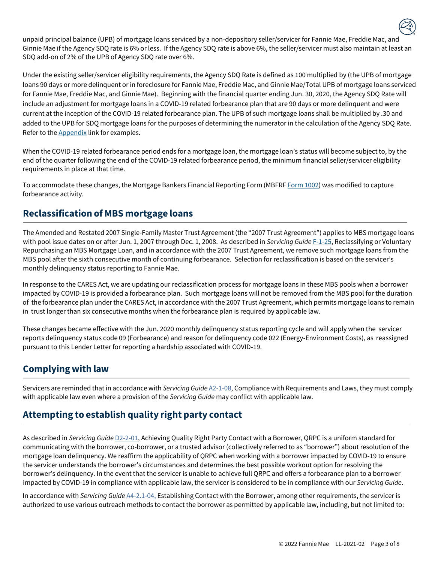unpaid principal balance (UPB) of mortgage loans serviced by a non-depository seller/servicer for Fannie Mae, Freddie Mac, and Ginnie Mae if the Agency SDQ rate is 6% or less. If the Agency SDQ rate is above 6%, the seller/servicer must also maintain at least an SDQ add-on of 2% of the UPB of Agency SDQ rate over 6%.

Under the existing seller/servicer eligibility requirements, the Agency SDQ Rate is defined as 100 multiplied by (the UPB of mortgage loans 90 days or more delinquent or in foreclosure for Fannie Mae, Freddie Mac, and Ginnie Mae/Total UPB of mortgage loans serviced for Fannie Mae, Freddie Mac, and Ginnie Mae). Beginning with the financial quarter ending Jun. 30, 2020, the Agency SDQ Rate will include an adjustment for mortgage loans in a COVID-19 related forbearance plan that are 90 days or more delinquent and were current at the inception of the COVID-19 related forbearance plan. The UPB of such mortgage loans shall be multiplied by .30 and added to the UPB for SDQ mortgage loans for the purposes of determining the numerator in the calculation of the Agency SDQ Rate. Refer to th[e Appendix](#page-6-0) link for examples.

When the COVID-19 related forbearance period ends for a mortgage loan, the mortgage loan's status will become subject to, by the end of the quarter following the end of the COVID-19 related forbearance period, the minimum financial seller/servicer eligibility requirements in place at that time.

To accommodate these changes, the Mortgage Bankers Financial Reporting Form (MBFRF Form [1002\)](https://singlefamily.fanniemae.com/form-1002-mortgage-bankers-financial-reporting-form) was modified to capture forbearance activity.

## **Reclassification of MBS mortgage loans**

The Amended and Restated 2007 Single-Family Master Trust Agreement (the "2007 Trust Agreement") applies to MBS mortgage loans with pool issue dates on or after Jun. 1, 2007 through Dec. 1, 2008. As described in *Servicing Guide* [F-1-25, R](https://servicing-guide.fanniemae.com/THE-SERVICING-GUIDE/Part-F-Servicing-Guide-Procedures-Exhibits-Quick-Referen/Chapter-F-1-Servicing-Guide-Procedures/F-1-25-Reclassifying-or-Voluntary-Repurchasing-an-MBS/1045438991/F-1-25-Reclassifying-or-Voluntary-Repurchasing-an-MBS-Mortgage-Loan-01-20-2021.htm?searchtype=sf)eclassifying or Voluntary Repurchasing an MBS Mortgage Loan, and in accordance with the 2007 Trust Agreement, we remove such mortgage loans from the MBS pool after the sixth consecutive month of continuing forbearance. Selection for reclassification is based on the servicer's monthly delinquency status reporting to Fannie Mae.

In response to the CARES Act, we are updating our reclassification process for mortgage loans in these MBS pools when a borrower impacted by COVID-19 is provided a forbearance plan. Such mortgage loans will not be removed from the MBS pool for the duration of the forbearance plan under the CARES Act, in accordance with the 2007 Trust Agreement, which permits mortgage loans to remain in trust longer than six consecutive months when the forbearance plan is required by applicable law.

These changes became effective with the Jun. 2020 monthly delinquency status reporting cycle and will apply when the servicer reports delinquency status code 09 (Forbearance) and reason for delinquency code 022 (Energy-Environment Costs), as reassigned pursuant to this Lender Letter for reporting a hardship associated with COVID-19.

## **Complying with law**

Servicers are reminded that in accordance with *Servicing Guide* [A2-1-08,](https://servicing-guide.fanniemae.com/THE-SERVICING-GUIDE/Part-A-Doing-Business-with-Fannie-Mae/Subpart-A2-Getting-Started-with-Fannie-Mae/Chapter-A2-1-Servicer-Duties-and-Responsibilities/A2-1-08-Compliance-with-Requirements-and-Laws/1581708041/A2-1-08-Compliance-with-Requirements-and-Laws-02-14-2018.htm?searchtype=sf) Compliance with Requirements and Laws, they must comply with applicable law even where a provision of the *Servicing Guide* may conflict with applicable law.

# **Attempting to establish quality right party contact**

As described in *Servicing Guide* [D2-2-01, A](https://servicing-guide.fanniemae.com/THE-SERVICING-GUIDE/Part-D-Providing-Solutions-to-a-Borrower/Subpart-D2-Assisting-a-Borrower-Who-is-Facing-Default-or/Chapter-D2-2-Requirements-for-Contacting-a-Borrower/D2-2-01-Achieving-Quality-Right-Party-Contact-with-a/1042801491/D2-2-01-Achieving-Quality-Right-Party-Contact-with-a-Borrower-11-14-2018.htm?searchtype=sf)chieving Quality Right Party Contact with a Borrower, QRPC is a uniform standard for communicating with the borrower, co-borrower, or a trusted advisor (collectively referred to as "borrower") about resolution of the mortgage loan delinquency. We reaffirm the applicability of QRPC when working with a borrower impacted by COVID-19 to ensure the servicer understands the borrower's circumstances and determines the best possible workout option for resolving the borrower's delinquency. In the event that the servicer is unable to achieve full QRPC and offers a forbearance plan to a borrower impacted by COVID-19 in compliance with applicable law, the servicer is considered to be in compliance with our *Servicing Guide*.

In accordance with *Servicing Guide* [A4-2.1-04, E](https://servicing-guide.fanniemae.com/THE-SERVICING-GUIDE/Part-A-Doing-Business-with-Fannie-Mae/Subpart-A4-Setting-Up-Servicer-Operations/Chapter-A4-2-Requirements-for-Delinquent-Mortgage-Loans/Section-A4-2-1-Establishing-Default-Management-Strategies/A4-2-1-04-Establishing-Contact-with-the-Borrower/1581707771/A4-2-1-04-Establishing-Contact-with-the-Borrower-12-16-2015.htm?searchtype=sf)stablishing Contact with the Borrower, among other requirements, the servicer is authorized to use various outreach methods to contact the borrower as permitted by applicable law, including, but not limited to: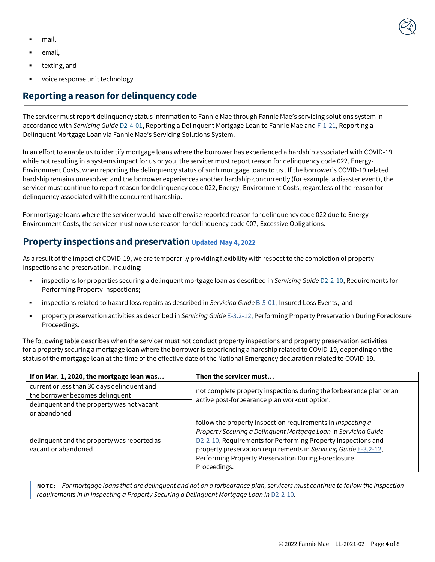- mail,
- email.
- texting, and
- voice response unit technology.

#### **Reporting a reason for delinquencycode**

The servicer must report delinquency status information to Fannie Mae through Fannie Mae's servicing solutions system in accordance with *Servicing Guide* [D2-4-01,](https://servicing-guide.fanniemae.com/THE-SERVICING-GUIDE/Part-D-Providing-Solutions-to-a-Borrower/Subpart-D2-Assisting-a-Borrower-Who-is-Facing-Default-or/Chapter-D2-4-Reporting-Delinquent-Mortgage-Loans-and/D2-4-01-Reporting-a-Delinquent-Mortgage-Loan-to-Fannie-Mae/1042591241/D2-4-01-Reporting-a-Delinquent-Mortgage-Loan-to-Fannie-Mae-06-10-2020.htm?SearchType=sf) Reporting a Delinquent Mortgage Loan to Fannie Mae and [F-1-21, R](https://servicing-guide.fanniemae.com/THE-SERVICING-GUIDE/Part-F-Servicing-Guide-Procedures-Exhibits-Quick-Referen/Chapter-F-1-Servicing-Guide-Procedures/F-1-21-Reporting-a-Delinquent-Mortgage-Loan-via-Fannie-Mae/1045413461/F-1-21-Reporting-a-Delinquent-Mortgage-Loan-via-Fannie-Mae-s-Servicing-Solutions-System-01-20-2021.htm?searchtype=sf)eporting a Delinquent Mortgage Loan via Fannie Mae's Servicing Solutions System.

In an effort to enable us to identify mortgage loans where the borrower has experienced a hardship associated with COVID-19 while not resulting in a systems impact for us or you, the servicer must report reason for delinquency code 022, Energy-Environment Costs, when reporting the delinquency status of such mortgage loans to us . If the borrower's COVID-19 related hardship remains unresolved and the borrower experiences another hardship concurrently (for example, a disaster event), the servicer must continue to report reason for delinquency code 022, Energy- Environment Costs, regardless of the reason for delinquency associated with the concurrent hardship.

For mortgage loans where the servicer would have otherwise reported reason for delinquency code 022 due to Energy-Environment Costs, the servicer must now use reason for delinquency code 007, Excessive Obligations.

#### **Property inspections and preservation Updated May 4, 2022**

As a result of the impact of COVID-19, we are temporarily providing flexibility with respect to the completion of property inspections and preservation, including:

- inspections for properties securing a delinquent mortgage loan as described in *Servicing Guide* [D2-2-10,](https://servicing-guide.fanniemae.com/THE-SERVICING-GUIDE/Part-D-Providing-Solutions-to-a-Borrower/Subpart-D2-Assisting-a-Borrower-Who-is-Facing-Default-or/Chapter-D2-2-Requirements-for-Contacting-a-Borrower/D2-2-10-Requirements-for-Performing-Property-Inspections/1042371021/D2-2-10-Requirements-for-Performing-Property-Inspections-04-10-2019.htm?searchtype=sf) Requirements for [Performing Property Inspections;](https://servicing-guide.fanniemae.com/THE-SERVICING-GUIDE/Part-D-Providing-Solutions-to-a-Borrower/Subpart-D2-Assisting-a-Borrower-Who-is-Facing-Default-or/Chapter-D2-2-Requirements-for-Contacting-a-Borrower/D2-2-10-Requirements-for-Performing-Property-Inspections/1042371021/D2-2-10-Requirements-for-Performing-Property-Inspections-04-10-2019.htm)
- inspections related to hazard loss repairs as described in *Servicing Guide* [B-5-01,](https://servicing-guide.fanniemae.com/THE-SERVICING-GUIDE/Part-B-Escrow-Taxes-Assessments-and-Insurance/Chapter-B-5-Property-and-Flood-Insurance-Loss-Events/B-5-01-Insured-Loss-Events/1040963581/B-5-01-Insured-Loss-Events-04-10-2019.htm?searchtype=sf) Insured Loss Events, and
- property preservation activities as described in *Servicing Guide* [E-3.2-12,](https://servicing-guide.fanniemae.com/THE-SERVICING-GUIDE/Part-E-Default-Related-Legal-Services-Bankruptcy-Foreclos/Chapter-E-3-Managing-Foreclosure-Proceedings/Section-E-3-2-Initiating-and-Processing-Foreclosure/E-3-2-12-Performing-Property-Preservation-During/1042630591/E-3-2-12-Performing-Property-Preservation-During-Foreclosure-Proceedings-07-12-2017.htm?searchtype=sf) Performing Property Preservation During Foreclosure Proceedings.

The following table describes when the servicer must not conduct property inspections and property preservation activities for a property securing a mortgage loan where the borrower is experiencing a hardship related to COVID-19, depending on the status of the mortgage loan at the time of the effective date of the National Emergency declaration related to COVID-19.

| If on Mar. 1, 2020, the mortgage loan was   | Then the servicer must                                              |
|---------------------------------------------|---------------------------------------------------------------------|
| current or less than 30 days delinquent and | not complete property inspections during the forbearance plan or an |
| the borrower becomes delinquent             | active post-forbearance plan workout option.                        |
| delinquent and the property was not vacant  |                                                                     |
| or abandoned                                |                                                                     |
|                                             | follow the property inspection requirements in Inspecting a         |
|                                             | Property Securing a Delinquent Mortgage Loan in Servicing Guide     |
| delinquent and the property was reported as | D2-2-10, Requirements for Performing Property Inspections and       |
| vacant or abandoned                         | property preservation requirements in Servicing Guide E-3.2-12,     |
|                                             | Performing Property Preservation During Foreclosure                 |
|                                             | Proceedings.                                                        |

NOTE: For mortgage loans that are delinguent and not on a forbearance plan, servicers must continue to follow the inspection *requirements in in Inspecting a Property Securing a Delinguent Mortgage Loan in [D2-2-10](https://servicing-guide.fanniemae.com/THE-SERVICING-GUIDE/Part-D-Providing-Solutions-to-a-Borrower/Subpart-D2-Assisting-a-Borrower-Who-is-Facing-Default-or/Chapter-D2-2-Requirements-for-Contacting-a-Borrower/D2-2-10-Requirements-for-Performing-Property-Inspections/1042371021/D2-2-10-Requirements-for-Performing-Property-Inspections-04-10-2019.htm?searchtype=sf).*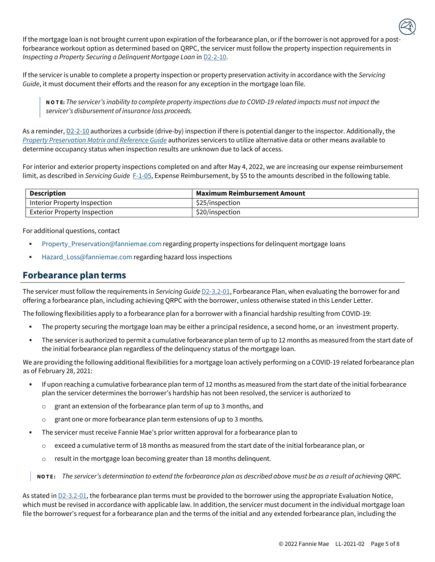If the mortgage loan is not brought current upon expiration of the forbearance plan, or if the borrower is not approved for a postforbearance workout option as determined based on QRPC, the servicer must follow the property inspection requirements in *Inspecting a Property Securing a Delinquent Mortgage Loan* i[n D2-2-10.](https://servicing-guide.fanniemae.com/THE-SERVICING-GUIDE/Part-D-Providing-Solutions-to-a-Borrower/Subpart-D2-Assisting-a-Borrower-Who-is-Facing-Default-or/Chapter-D2-2-Requirements-for-Contacting-a-Borrower/D2-2-10-Requirements-for-Performing-Property-Inspections/1042371021/D2-2-10-Requirements-for-Performing-Property-Inspections-04-10-2019.htm?searchtype=sf)

If the servicer is unable to complete a property inspection or property preservation activity in accordance with the *Servicing Guide*, it must document their efforts and the reason for any exception in the mortgage loan file.

NOTE: The servicer's inability to complete property inspections due to COVID-19 related impacts must not impact the *servicer's disbursement of insurance loss proceeds.*

As a reminder, [D2-2-10](https://servicing-guide.fanniemae.com/THE-SERVICING-GUIDE/Part-D-Providing-Solutions-to-a-Borrower/Subpart-D2-Assisting-a-Borrower-Who-is-Facing-Default-or/Chapter-D2-2-Requirements-for-Contacting-a-Borrower/D2-2-10-Requirements-for-Performing-Property-Inspections/1042371021/D2-2-10-Requirements-for-Performing-Property-Inspections-04-10-2019.htm?searchtype=sf) authorizes a curbside (drive-by) inspection if there is potential danger to the inspector. Additionally, the *[Property Preservation Matrix and Reference Guide](https://singlefamily.fanniemae.com/media/document/pdf/property-maintenance-and-management-property-preservation-matrix-and-reference)* authorizes servicers to utilize alternative data or other means available to determine occupancy status when inspection results are unknown due to lack of access.

For interior and exterior property inspections completed on and after May 4, 2022, we are increasing our expense reimbursement limit, as described in *Servicing Guide* [F-1-05,](https://servicing-guide.fanniemae.com/THE-SERVICING-GUIDE/Part-F-Servicing-Guide-Procedures-Exhibits-Quick-Referen/Chapter-F-1-Servicing-Guide-Procedures/F-1-05-Expense-Reimbursement/1045188371/F-1-05-Expense-Reimbursement-02-09-2022.htm?searchtype=sf) Expense Reimbursement, by \$5 to the amounts described in the following table.

| Description                         | Maximum Reimbursement Amount |
|-------------------------------------|------------------------------|
| Interior Property Inspection        | \$25/inspection              |
| <b>Exterior Property Inspection</b> | \$20/inspection              |

For additional questions, contact

- **•** [Property\\_Preservation@fanniemae.com](mailto:Property_Preservation@fanniemae.com) regarding property inspections for delinquent mortgage loans
- [Hazard\\_Loss@fanniemae.com](mailto:Hazard_Loss@fanniemae.com) regarding hazard loss inspections

#### **Forbearance plan terms**

The servicer must follow the requirements in *Servicing Guide* [D2-3.2-01,](https://servicing-guide.fanniemae.com/THE-SERVICING-GUIDE/Part-D-Providing-Solutions-to-a-Borrower/Subpart-D2-Assisting-a-Borrower-Who-is-Facing-Default-or/Chapter-D2-3-Fannie-Mae-s-Home-Retention-and-Liquidation/Section-D2-3-2-Home-Retention-Workout-Options/D2-3-2-01-Forbearance-Plan/1042399011/D2-3-2-01-Forbearance-Plan-09-18-2018.htm?searchtype=sf) Forbearance Plan, when evaluating the borrower for and offering a forbearance plan, including achieving QRPC with the borrower, unless otherwise stated in this Lender Letter.

The following flexibilities apply to a forbearance plan for a borrower with a financial hardship resulting from COVID-19:

- The property securing the mortgage loan may be either a principal residence, a second home, or an investment property.
- The servicer is authorized to permit a cumulative forbearance plan term of up to 12 months as measured from the start date of the initial forbearance plan regardless of the delinquency status of the mortgage loan.

We are providing the following additional flexibilities for a mortgage loan actively performing on a COVID-19 related forbearance plan as of February 28, 2021:

- If upon reaching a cumulative forbearance plan term of 12 months as measured from the start date of the initial forbearance plan the servicer determines the borrower's hardship has not been resolved, the servicer is authorized to
	- o grant an extension of the forbearance plan term of up to 3 months, and
	- o grant one or more forbearance plan term extensions of up to 3 months.
- The servicer must receive Fannie Mae's prior written approval for a forbearance plan to
	- $\circ$  exceed a cumulative term of 18 months as measured from the start date of the initial forbearance plan, or
	- $\circ$  result in the mortgage loan becoming greater than 18 months delinquent.

NOTE: The servicer's determination to extend the forbearance plan as described above must be as a result of achieving QRPC.

As stated in  $D2-3.2-01$ , the forbearance plan terms must be provided to the borrower using the appropriate Evaluation Notice, which must be revised in accordance with applicable law. In addition, the servicer must document in the individual mortgage loan file the borrower's request for a forbearance plan and the terms of the initial and any extended forbearance plan, including the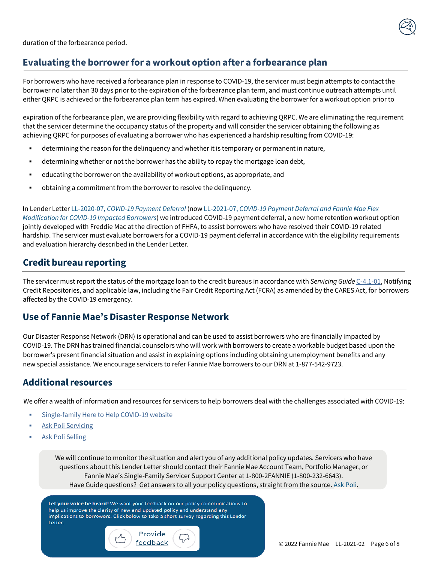

For borrowers who have received a forbearance plan in response to COVID-19, the servicer must begin attempts to contact the borrower no later than 30 days prior to the expiration of the forbearance plan term, and must continue outreach attempts until either QRPC is achieved or the forbearance plan term has expired. When evaluating the borrower for a workout option prior to

expiration of the forbearance plan, we are providing flexibility with regard to achieving QRPC. We are eliminating the requirement that the servicer determine the occupancy status of the property and will consider the servicer obtaining the following as achieving QRPC for purposes of evaluating a borrower who has experienced a hardship resulting from COVID-19:

- determining the reason for the delinquency and whether it is temporary or permanent in nature,
- **EXECT** determining whether or not the borrower has the ability to repay the mortgage loan debt,
- educating the borrower on the availability of workout options, as appropriate, and
- obtaining a commitment from the borrower to resolve the delinquency.

In Lender Letter LL-2020-07, *[COVID-19 Payment Deferral](https://singlefamily.fanniemae.com/media/document/pdf/lender-letter-ll-2020-07-covid-19-payment-deferral)* (now LL-2021-07, *[COVID-19 Payment Deferral and Fannie Mae Flex](https://singlefamily.fanniemae.com/media/document/pdf/lender-letter-ll-2021-07-covid-19-payment-deferral)  [Modification](https://singlefamily.fanniemae.com/media/document/pdf/lender-letter-ll-2021-07-covid-19-payment-deferral) for COVID-19 Impacted Borrowers*) we introduced COVID-19 payment deferral, a new home retention workout option jointly developed with Freddie Mac at the direction of FHFA, to assist borrowers who have resolved their COVID-19 related hardship. The servicer must evaluate borrowers for a COVID-19 payment deferral in accordance with the eligibility requirements and evaluation hierarchy described in the Lender Letter.

#### **Credit bureau reporting**

The servicer must report the status of the mortgage loan to the credit bureaus in accordance with *Servicing Guide* [C-4.1-01,](https://servicing-guide.fanniemae.com/THE-SERVICING-GUIDE/Part-C-Mortgage-Loan-Payment-Processing-Remitting-Account/Chapter-C-4-Reporting/Section-C-4-1-Credit-Bureau-Reporting-Requirements/C-4-1-01-Notifying-Credit-Repositories/1041146031/C-4-1-01-Notifying-Credit-Repositories-07-15-2020.htm?SearchType_sf) Notifying Credit Repositories, and applicable law, including the Fair Credit Reporting Act (FCRA) as amended by the CARES Act, for borrowers affected by the COVID-19 emergency.

#### **Use of Fannie Mae's Disaster Response Network**

Our Disaster Response Network (DRN) is operational and can be used to assist borrowers who are financially impacted by COVID-19. The DRN has trained financial counselors who will work with borrowers to create a workable budget based upon the borrower's present financial situation and assist in explaining options including obtaining unemployment benefits and any new special assistance. We encourage servicers to refer Fannie Mae borrowers to our DRN at 1-877-542-9723.

#### **Additionalresources**

We offer a wealth of information and resources for servicers to help borrowers deal with the challenges associated with COVID-19:

- [Single-family](https://www.fanniemae.com/here-help-single-family) Here to Help COVID-19 website
- **Ask Poli [Servicing](https://askpoli.fanniemae.com/?guideType=Servicer)**
- **Ask Poli [Selling](https://askpoli.fanniemae.com/?guideType=Seller)**

We will continue to monitor the situation and alert you of any additional policy updates. Servicers who have questions about this Lender Letter should contact their Fannie Mae Account Team, Portfolio Manager, or Fannie Mae's Single-Family Servicer Support Center at 1-800-2FANNIE (1-800-232-6643).

Have Guide questions? Get answers to all your policy questions, straight from the source. Ask [Poli.](https://askpoli.fanniemae.com/?guideType=Servicing&_ga=2.39744419.183221993.1590588944-635827362.1590588944)

<span id="page-6-0"></span>Let your voice be heard! We want your feedback on our policy communications to help us improve the clarity of new and updated policy and understand any implications to borrowers. Click below to take a short survey regarding this Lender Letter.

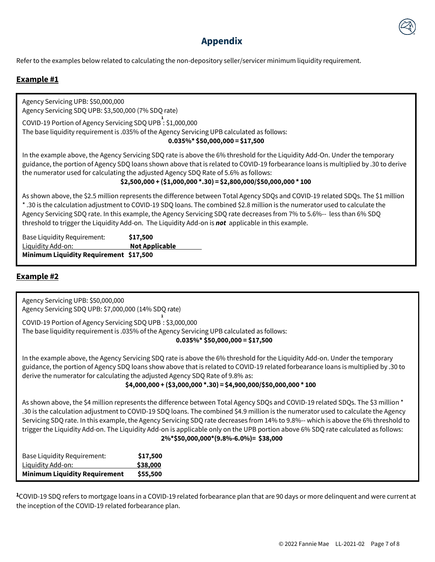

### **Appendix**

Refer to the examples below related to calculating the non-depository seller/servicer minimum liquidity requirement.

#### **Example #1**

Agency Servicing UPB: \$50,000,000 Agency Servicing SDQ UPB: \$3,500,000 (7% SDQ rate)

COVID-19 Portion of Agency Servicing SDQ UPB : \$1,000,000 **1** The base liquidity requirement is .035% of the Agency Servicing UPB calculated as follows: **0.035%\* \$50,000,000 = \$17,500**

In the example above, the Agency Servicing SDQ rate is above the 6% threshold for the Liquidity Add-On. Under the temporary guidance, the portion of Agency SDQ loans shown above that is related to COVID-19 forbearance loans is multiplied by .30 to derive the numerator used for calculating the adjusted Agency SDQ Rate of 5.6% as follows:

**\$2,500,000 + (\$1,000,000 \*.30) = \$2,800,000/\$50,000,000 \* 100**

As shown above, the \$2.5 million represents the difference between Total Agency SDQs and COVID-19 related SDQs. The \$1 million \* .30 is the calculation adjustment to COVID-19 SDQ loans. The combined \$2.8 million is the numerator used to calculate the Agency Servicing SDQ rate. In this example, the Agency Servicing SDQ rate decreases from 7% to 5.6%-- less than 6% SDQ threshold to trigger the Liquidity Add-on. The Liquidity Add-on is *not* applicable in this example.

| <b>Base Liquidity Requirement:</b>     | \$17,500              |
|----------------------------------------|-----------------------|
| Liquidity Add-on:                      | <b>Not Applicable</b> |
| Minimum Liquidity Requirement \$17,500 |                       |

#### **Example #2**

Agency Servicing UPB: \$50,000,000 Agency Servicing SDQ UPB: \$7,000,000 (14% SDQ rate)

**1** COVID-19 Portion of Agency Servicing SDQ UPB : \$3,000,000 The base liquidity requirement is .035% of the Agency Servicing UPB calculated as follows:

**0.035%\* \$50,000,000 = \$17,500**

In the example above, the Agency Servicing SDQ rate is above the 6% threshold for the Liquidity Add-on. Under the temporary guidance, the portion of Agency SDQ loans show above that is related to COVID-19 related forbearance loans is multiplied by .30 to derive the numerator for calculating the adjusted Agency SDQ Rate of 9.8% as:

#### **\$4,000,000 + (\$3,000,000 \*.30) = \$4,900,000/\$50,000,000 \* 100**

As shown above, the \$4 million represents the difference between Total Agency SDQs and COVID-19 related SDQs. The \$3 million \* .30 is the calculation adjustment to COVID-19 SDQ loans. The combined \$4.9 million is the numerator used to calculate the Agency Servicing SDQ rate. In this example, the Agency Servicing SDQ rate decreases from 14% to 9.8%-- which is above the 6% threshold to trigger the Liquidity Add-on. The Liquidity Add-on is applicable only on the UPB portion above 6% SDQ rate calculated as follows: **2%\*\$50,000,000\*(9.8%-6.0%)= \$38,000**

| <b>Base Liquidity Requirement:</b>   | \$17,500 |
|--------------------------------------|----------|
| Liquidity Add-on:                    | \$38,000 |
| <b>Minimum Liquidity Requirement</b> | \$55,500 |

**<sup>1</sup>**COVID-19 SDQ refers to mortgage loans in a COVID-19 related forbearance plan that are 90 days or more delinquent and were current at the inception of the COVID-19 related forbearance plan.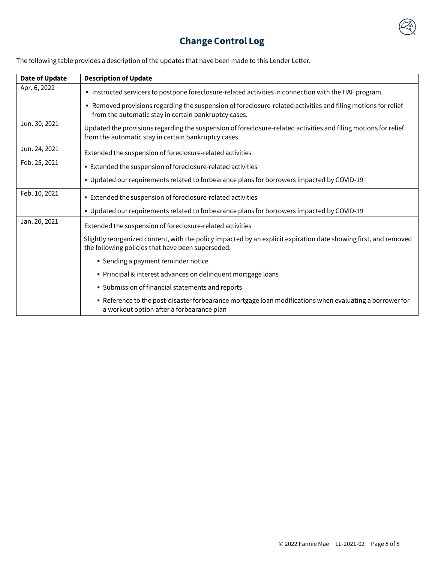

# **Change Control Log**

| <b>Date of Update</b> | <b>Description of Update</b>                                                                                                                                           |
|-----------------------|------------------------------------------------------------------------------------------------------------------------------------------------------------------------|
| Apr. 6, 2022          | Instructed servicers to postpone foreclosure-related activities in connection with the HAF program.                                                                    |
|                       | • Removed provisions regarding the suspension of foreclosure-related activities and filing motions for relief<br>from the automatic stay in certain bankruptcy cases.  |
| Jun. 30, 2021         | Updated the provisions regarding the suspension of foreclosure-related activities and filing motions for relief<br>from the automatic stay in certain bankruptcy cases |
| Jun. 24, 2021         | Extended the suspension of foreclosure-related activities                                                                                                              |
| Feb. 25, 2021         | Extended the suspension of foreclosure-related activities                                                                                                              |
|                       | • Updated our requirements related to forbearance plans for borrowers impacted by COVID-19                                                                             |
| Feb. 10, 2021         | Extended the suspension of foreclosure-related activities                                                                                                              |
|                       | • Updated our requirements related to forbearance plans for borrowers impacted by COVID-19                                                                             |
| Jan. 20, 2021         | Extended the suspension of foreclosure-related activities                                                                                                              |
|                       | Slightly reorganized content, with the policy impacted by an explicit expiration date showing first, and removed<br>the following policies that have been superseded:  |
|                       | • Sending a payment reminder notice                                                                                                                                    |
|                       | • Principal & interest advances on delinquent mortgage loans                                                                                                           |
|                       | • Submission of financial statements and reports                                                                                                                       |
|                       | • Reference to the post-disaster forbearance mortgage loan modifications when evaluating a borrower for<br>a workout option after a forbearance plan                   |

<span id="page-8-0"></span>The following table provides a description of the updates that have been made to this Lender Letter.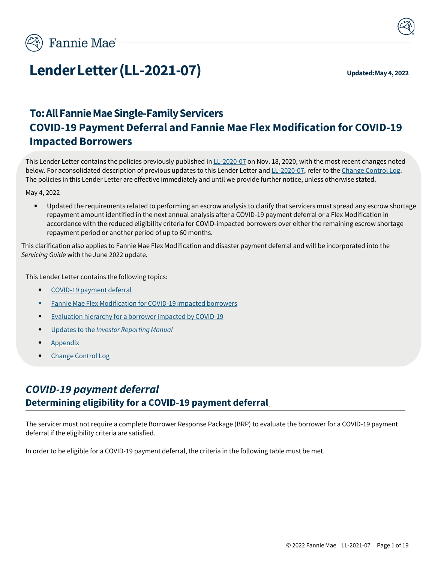

# **Lender Letter (LL-2021-07) Updated: May 4, 2022**

# **To:AllFannieMaeSingle-FamilyServicers COVID-19 Payment Deferral and Fannie Mae Flex Modification for COVID-19 Impacted Borrowers**

This Lender Letter contains the policies previously published i[n LL-2020-07](https://singlefamily.fanniemae.com/media/document/pdf/lender-letter-ll-2020-07-covid-19-payment-deferral) on Nov. 18, 2020, with the most recent changes noted below. For aconsolidated description of previous updates to this Lender Letter an[d LL-2020-07, r](https://singlefamily.fanniemae.com/media/document/pdf/lender-letter-ll-2020-07-covid-19-payment-deferral)efer to the Change Control Log. The policies in this Lender Letter are effective immediately and until we provide further notice, unless otherwise stated.

May 4, 2022

▪ Updated the requirements related to performing an escrow analysis to clarify that servicers must spread any escrow shortage repayment amount identified in the next annual analysis after a COVID-19 payment deferral or a Flex Modification in accordance with the reduced eligibility criteria for COVID-impacted borrowers over either the remaining escrow shortage repayment period or another period of up to 60 months.

This clarification also applies to Fannie Mae Flex Modification and disaster payment deferral and will be incorporated into the *Servicing Guide* with the June 2022 update.

This Lender Letter contains the following topics:

- [COVID-19](#page-9-0) payment deferral
- **Fannie Mae Flex [Modification for](#page-16-0) COVID-19 impacted borrowers**
- <span id="page-9-1"></span>**Evaluation hierarchy for a [borrower impacted](#page-20-0) by COVID-19**
- [Updates to](#page-21-0) the *Investor Reporting Manual*
- **[Appendix](#page-24-0)**
- <span id="page-9-0"></span>[Change](#page-26-0) Control Log

# *COVID-19 payment deferral* **Determining eligibility for a COVID-19 payment deferral**

The servicer must not require a complete Borrower Response Package (BRP) to evaluate the borrower for a COVID-19 payment deferral if the eligibility criteria are satisfied.

In order to be eligible for a COVID-19 payment deferral, the criteria in the following table must be met.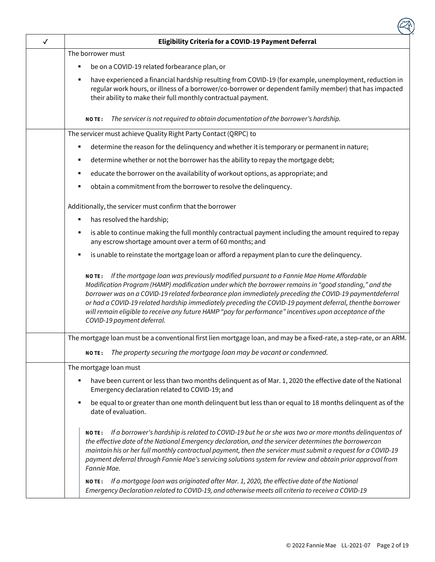| ✓ | <b>Eligibility Criteria for a COVID-19 Payment Deferral</b>                                                                                                                                                                                                                                                                                                                                                                                                                                                                                                                   |
|---|-------------------------------------------------------------------------------------------------------------------------------------------------------------------------------------------------------------------------------------------------------------------------------------------------------------------------------------------------------------------------------------------------------------------------------------------------------------------------------------------------------------------------------------------------------------------------------|
|   | The borrower must                                                                                                                                                                                                                                                                                                                                                                                                                                                                                                                                                             |
|   | be on a COVID-19 related forbearance plan, or<br>п                                                                                                                                                                                                                                                                                                                                                                                                                                                                                                                            |
|   | have experienced a financial hardship resulting from COVID-19 (for example, unemployment, reduction in<br>regular work hours, or illness of a borrower/co-borrower or dependent family member) that has impacted<br>their ability to make their full monthly contractual payment.                                                                                                                                                                                                                                                                                             |
|   | The servicer is not required to obtain documentation of the borrower's hardship.<br><b>NOTE:</b>                                                                                                                                                                                                                                                                                                                                                                                                                                                                              |
|   | The servicer must achieve Quality Right Party Contact (QRPC) to                                                                                                                                                                                                                                                                                                                                                                                                                                                                                                               |
|   | determine the reason for the delinquency and whether it is temporary or permanent in nature;                                                                                                                                                                                                                                                                                                                                                                                                                                                                                  |
|   | determine whether or not the borrower has the ability to repay the mortgage debt;<br>٠                                                                                                                                                                                                                                                                                                                                                                                                                                                                                        |
|   | educate the borrower on the availability of workout options, as appropriate; and<br>٠                                                                                                                                                                                                                                                                                                                                                                                                                                                                                         |
|   | obtain a commitment from the borrower to resolve the delinquency.                                                                                                                                                                                                                                                                                                                                                                                                                                                                                                             |
|   | Additionally, the servicer must confirm that the borrower                                                                                                                                                                                                                                                                                                                                                                                                                                                                                                                     |
|   | has resolved the hardship;                                                                                                                                                                                                                                                                                                                                                                                                                                                                                                                                                    |
|   | is able to continue making the full monthly contractual payment including the amount required to repay<br>٠<br>any escrow shortage amount over a term of 60 months; and                                                                                                                                                                                                                                                                                                                                                                                                       |
|   | is unable to reinstate the mortgage loan or afford a repayment plan to cure the delinquency.                                                                                                                                                                                                                                                                                                                                                                                                                                                                                  |
|   | If the mortgage loan was previously modified pursuant to a Fannie Mae Home Affordable<br><b>NOTE:</b><br>Modification Program (HAMP) modification under which the borrower remains in "good standing," and the<br>borrower was on a COVID-19 related forbearance plan immediately preceding the COVID-19 paymentdeferral<br>or had a COVID-19 related hardship immediately preceding the COVID-19 payment deferral, thenthe borrower<br>will remain eligible to receive any future HAMP "pay for performance" incentives upon acceptance of the<br>COVID-19 payment deferral. |
|   | The mortgage loan must be a conventional first lien mortgage loan, and may be a fixed-rate, a step-rate, or an ARM.                                                                                                                                                                                                                                                                                                                                                                                                                                                           |
|   | NOTE: The property securing the mortgage loan may be vacant or condemned.                                                                                                                                                                                                                                                                                                                                                                                                                                                                                                     |
|   | The mortgage loan must                                                                                                                                                                                                                                                                                                                                                                                                                                                                                                                                                        |
|   | have been current or less than two months delinquent as of Mar. 1, 2020 the effective date of the National<br>Emergency declaration related to COVID-19; and                                                                                                                                                                                                                                                                                                                                                                                                                  |
|   | be equal to or greater than one month delinquent but less than or equal to 18 months delinquent as of the<br>٠<br>date of evaluation.                                                                                                                                                                                                                                                                                                                                                                                                                                         |
|   | NO TE: If a borrower's hardship is related to COVID-19 but he or she was two or more months delinquentas of<br>the effective date of the National Emergency declaration, and the servicer determines the borrowercan<br>maintain his or her full monthly contractual payment, then the servicer must submit a request for a COVID-19<br>payment deferral through Fannie Mae's servicing solutions system for review and obtain prior approval from<br>Fannie Mae.                                                                                                             |
|   | NO TE: If a mortgage loan was originated after Mar. 1, 2020, the effective date of the National<br>Emergency Declaration related to COVID-19, and otherwise meets all criteria to receive a COVID-19                                                                                                                                                                                                                                                                                                                                                                          |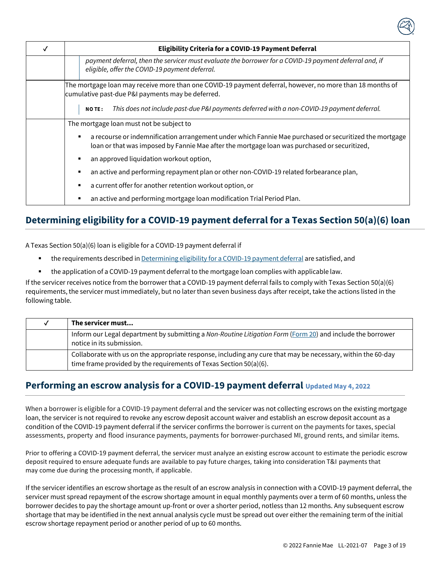| Eligibility Criteria for a COVID-19 Payment Deferral                                                                                                                                                        |  |
|-------------------------------------------------------------------------------------------------------------------------------------------------------------------------------------------------------------|--|
| payment deferral, then the servicer must evaluate the borrower for a COVID-19 payment deferral and, if<br>eligible, offer the COVID-19 payment deferral.                                                    |  |
| The mortgage loan may receive more than one COVID-19 payment deferral, however, no more than 18 months of<br>cumulative past-due P&I payments may be deferred.                                              |  |
| This does not include past-due P&I payments deferred with a non-COVID-19 payment deferral.<br><b>NOTE:</b>                                                                                                  |  |
| The mortgage loan must not be subject to                                                                                                                                                                    |  |
| a recourse or indemnification arrangement under which Fannie Mae purchased or securitized the mortgage<br>п<br>loan or that was imposed by Fannie Mae after the mortgage loan was purchased or securitized, |  |
| an approved liquidation workout option,<br>п                                                                                                                                                                |  |
| an active and performing repayment plan or other non-COVID-19 related forbearance plan,<br>п                                                                                                                |  |
| a current offer for another retention workout option, or<br>п                                                                                                                                               |  |
| an active and performing mortgage loan modification Trial Period Plan.                                                                                                                                      |  |

# **Determining eligibility for a COVID-19 payment deferral for a Texas Section 50(a)(6) loan**

A Texas Section 50(a)(6) loan is eligible for a COVID-19 payment deferral if

- the requirements described in [Determining](#page-9-1) eligibility for a COVID-19 payment deferral are satisfied, and
- the application of a COVID-19 payment deferral to the mortgage loan complies with applicable law.

If the servicer receives notice from the borrower that a COVID-19 payment deferral fails to comply with Texas Section 50(a)(6) requirements, the servicer must immediately, but no laterthan seven business days after receipt, take the actions listed in the following table.

| v | The servicer must                                                                                                                                                                  |
|---|------------------------------------------------------------------------------------------------------------------------------------------------------------------------------------|
|   | Inform our Legal department by submitting a Non-Routine Litigation Form (Form 20) and include the borrower<br>notice in its submission.                                            |
|   | Collaborate with us on the appropriate response, including any cure that may be necessary, within the 60-day<br>time frame provided by the requirements of Texas Section 50(a)(6). |

## **Performing an escrow analysis for a COVID-19 payment deferral Updated May 4, 2022**

When a borrower is eligible for a COVID-19 payment deferral and the servicer was not collecting escrows on the existing mortgage loan, the servicer is not required to revoke any escrow deposit account waiver and establish an escrow deposit account as a condition of the COVID-19 payment deferral if the servicer confirms the borrower is current on the payments for taxes, special assessments, property and flood insurance payments, payments for borrower-purchased MI, ground rents, and similar items.

Prior to offering a COVID-19 payment deferral, the servicer must analyze an existing escrow account to estimate the periodic escrow deposit required to ensure adequate funds are available to pay future charges, taking into consideration T&I payments that may come due during the processing month, if applicable.

If the servicer identifies an escrow shortage as the result of an escrow analysis in connection with a COVID-19 payment deferral, the servicer must spread repayment of the escrow shortage amount in equal monthly payments over a term of 60 months, unless the borrower decides to pay the shortage amount up-front or over a shorter period, notless than 12 months. Any subsequent escrow shortage that may be identified in the next annual analysis cycle must be spread out over either the remaining term of the initial escrow shortage repayment period or another period of up to 60 months.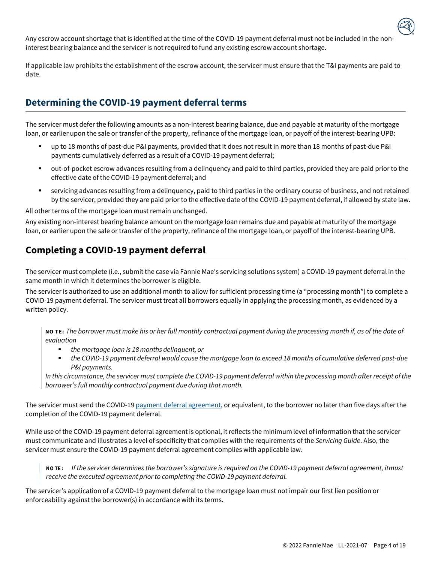Any escrow account shortage that is identified at the time of the COVID-19 payment deferral must not be included in the noninterest bearing balance and the servicer is not required to fund any existing escrow account shortage.

If applicable law prohibits the establishment of the escrow account, the servicer must ensure that the T&I payments are paid to date.

## **Determining the COVID-19 payment deferral terms**

The servicer must defer the following amounts as a non-interest bearing balance, due and payable at maturity of the mortgage loan, or earlier upon the sale or transfer of the property, refinance of the mortgage loan, or payoff of the interest-bearing UPB:

- up to 18 months of past-due P&I payments, provided that it does not result in more than 18 months of past-due P&I payments cumulatively deferred as a result of a COVID-19 payment deferral;
- out-of-pocket escrow advances resulting from a delinquency and paid to third parties, provided they are paid prior to the effective date of the COVID-19 payment deferral; and
- servicing advances resulting from a delinquency, paid to third parties in the ordinary course of business, and not retained by the servicer, provided they are paid prior to the effective date of the COVID-19 payment deferral, if allowed by state law.

All other terms of the mortgage loan must remain unchanged.

Any existing non-interest bearing balance amount on the mortgage loan remains due and payable at maturity of the mortgage loan, or earlier upon the sale or transfer of the property, refinance of the mortgage loan, or payoff of the interest-bearing UPB.

## **Completing a COVID-19 payment deferral**

The servicer must complete (i.e., submit the case via Fannie Mae's servicing solutions system) a COVID-19 payment deferral in the same month in which it determines the borrower is eligible.

The servicer is authorized to use an additional month to allow for sufficient processing time (a "processing month") to complete a COVID-19 payment deferral. The servicer must treat all borrowers equally in applying the processing month, as evidenced by a written policy.

**NO TE:** *The borrower must make his or her full monthly contractual payment during the processing month if, as of the date of evaluation*

- *the mortgage loan is* 18 *months delinquent, or*
- *the COVID-19 payment deferral would cause the mortgage loan to exceed 18 months of cumulative deferred past-due P&I payments.*

In this circumstance, the servicer must complete the COVID-19 payment deferral within the processing month after receipt of the *borrower's full monthly contractual payment due during that month.*

The servicer must send the COVID-1[9 payment deferral agreement, o](https://singlefamily.fanniemae.com/media/document/docx/payment-deferral-agreement)r equivalent, to the borrower no later than five days after the completion of the COVID-19 payment deferral.

While use of the COVID-19 payment deferral agreement is optional, it reflects the minimum level of information that the servicer must communicate and illustrates a level of specificity that complies with the requirements of the *Servicing Guide*. Also, the servicer must ensure the COVID-19 payment deferral agreement complies with applicable law.

**NO TE :** *If the servicer determines the borrower's signature is required on the COVID-19 payment deferral agreement, itmust receive the executed agreement prior to completing the COVID-19 payment deferral.*

The servicer's application of a COVID-19 payment deferral to the mortgage loan must not impair our first lien position or enforceability against the borrower(s) in accordance with its terms.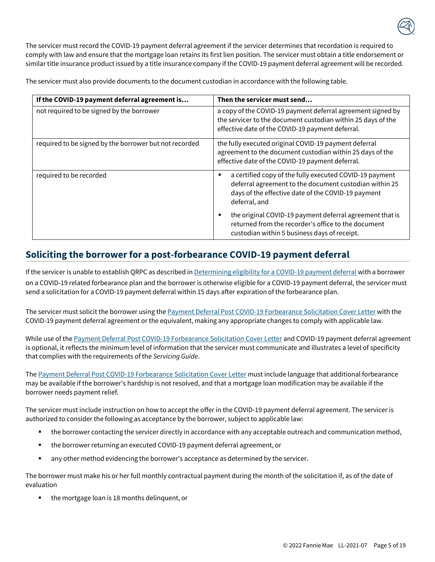The servicer must record the COVID-19 payment deferral agreement if the servicer determines that recordation is required to comply with law and ensure that the mortgage loan retains its first lien position. The servicer must obtain a title endorsement or similar title insurance product issued by a title insurance company if the COVID-19 payment deferral agreement will be recorded.

The servicer must also provide documents to the document custodian in accordance with the following table.

| If the COVID-19 payment deferral agreement is          | Then the servicer must send                                                                                                                                                                   |
|--------------------------------------------------------|-----------------------------------------------------------------------------------------------------------------------------------------------------------------------------------------------|
| not required to be signed by the borrower              | a copy of the COVID-19 payment deferral agreement signed by<br>the servicer to the document custodian within 25 days of the<br>effective date of the COVID-19 payment deferral.               |
| required to be signed by the borrower but not recorded | the fully executed original COVID-19 payment deferral<br>agreement to the document custodian within 25 days of the<br>effective date of the COVID-19 payment deferral.                        |
| required to be recorded                                | a certified copy of the fully executed COVID-19 payment<br>٠<br>deferral agreement to the document custodian within 25<br>days of the effective date of the COVID-19 payment<br>deferral, and |
|                                                        | the original COVID-19 payment deferral agreement that is<br>٠<br>returned from the recorder's office to the document<br>custodian within 5 business days of receipt.                          |

### <span id="page-13-0"></span>**Soliciting the borrower for a post-forbearance COVID-19 payment deferral**

If the servicer is unable to establish QRPC as described in [Determining](#page-9-1) eligibility for a COVID-19 payment deferral with a borrower on a COVID-19 related forbearance plan and the borrower is otherwise eligible for a COVID-19 payment deferral, the servicer must send a solicitation for a COVID-19 payment deferral within 15 days after expiration of the forbearance plan.

The servicer must solicit the borrower using the **Payment Deferral Post COVID-19 Forbearance Solicitation Cover Letter** with the COVID-19 payment deferral agreement or the equivalent, making any appropriate changes to comply with applicable law.

While use of the [Payment Deferral Post COVID-19 Forbearance Solicitation Cover Letter](#page-23-0) and COVID-19 payment deferral agreement is optional, it reflects the minimum level of information that the servicer must communicate and illustrates a level of specificity that complies with the requirements of the *Servicing Guide*.

The [Payment Deferral Post COVID-19 Forbearance Solicitation Cover Letter](#page-23-0) must include language that additional forbearance may be available if the borrower's hardship is not resolved, and that a mortgage loan modification may be available if the borrower needs payment relief.

The servicer must include instruction on how to accept the offer in the COVID-19 payment deferral agreement. The servicer is authorized to consider the following as acceptance by the borrower, subject to applicable law:

- the borrower contacting the servicer directly in accordance with any acceptable outreach and communication method,
- the borrower returning an executed COVID-19 payment deferral agreement, or
- any other method evidencing the borrower's acceptance as determined by the servicer.

The borrower must make his or her full monthly contractual payment during the month of the solicitation if, as of the date of evaluation

the mortgage loan is 18 months delinquent, or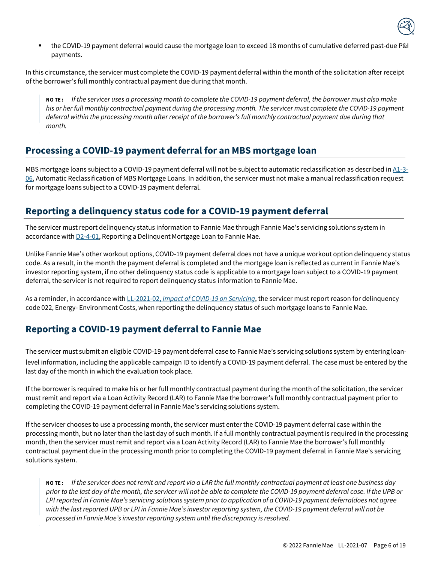

the COVID-19 payment deferral would cause the mortgage loan to exceed 18 months of cumulative deferred past-due P&I payments.

In this circumstance, the servicer must complete the COVID-19 payment deferral within the month of the solicitation after receipt of the borrower's full monthly contractual payment due during that month.

**NO TE :** *If the servicer uses a processing month to complete the COVID-19 payment deferral, the borrower must also make his or her full monthly contractual payment during the processing month. The servicer must complete the COVID-19 payment deferral within the processing month after receipt of the borrower's full monthly contractual payment due during that month.*

#### **Processing a COVID-19 payment deferral for an MBS mortgage loan**

MBS mortgage loans subject to a COVID-19 payment deferral will not be subject to automatic reclassification as described in  $A1-3-$ [06,](https://servicing-guide.fanniemae.com/THE-SERVICING-GUIDE/Part-A-Doing-Business-with-Fannie-Mae/Subpart-A1-Contractual-Obligations/Chapter-A1-3-Repurchases-Indemnifications-and-Make-Whole/A1-3-06-Automatic-Reclassification-of-MBS-Mortgage-Loans/1581707401/A1-3-06-Automatic-Reclassification-of-MBS-Mortgage-Loans-04-20-2020.htm?SearchType=sf) Automatic Reclassification of MBS Mortgage Loans. In addition, the servicer must not make a manual reclassification request for mortgage loans subject to a COVID-19 payment deferral.

#### **Reporting a delinquency status code for a COVID-19 payment deferral**

The servicer must report delinquency status information to Fannie Mae through Fannie Mae's servicing solutions system in accordance with **D2-4-01**, Reporting a Delinquent Mortgage Loan to Fannie Mae.

Unlike Fannie Mae's other workout options, COVID-19 payment deferral does not have a unique workout option delinquency status code. As a result, in the month the payment deferral is completed and the mortgage loan is reflected as current in Fannie Mae's investor reporting system, if no other delinquency status code is applicable to a mortgage loan subject to a COVID-19 payment deferral, the servicer is not required to report delinquency status information to Fannie Mae.

As a reminder, in accordance with LL-2021-02, *[Impact of COVID-19 on Servicing](https://singlefamily.fanniemae.com/media/document/pdf/lender-letter-ll-2021-02-impact-covid-19-servicing)*, the servicer must report reason for delinquency code 022, Energy- Environment Costs, when reporting the delinquency status of such mortgage loans to Fannie Mae.

## **Reporting a COVID-19 payment deferral to Fannie Mae**

 The servicer must submit an eligible COVID-19 payment deferral case to Fannie Mae's servicing solutions system by entering loanlevel information, including the applicable campaign ID to identify a COVID-19 payment deferral. The case must be entered by the last day of the month in which the evaluation took place.

If the borrower is required to make his or her full monthly contractual payment during the month of the solicitation, the servicer must remit and report via a Loan Activity Record (LAR) to Fannie Mae the borrower's full monthly contractual payment prior to completing the COVID-19 payment deferral in Fannie Mae's servicing solutions system.

If the servicer chooses to use a processing month, the servicer must enter the COVID-19 payment deferral case within the processing month, but no later than the last day of such month. If a full monthly contractual payment is required in the processing month, then the servicer must remit and report via a Loan Activity Record (LAR) to Fannie Mae the borrower's full monthly contractual payment due in the processing month prior to completing the COVID-19 payment deferral in Fannie Mae's servicing solutions system.

**NO TE :** *If the servicer does not remit and report via a LAR the full monthly contractual payment at least one business day prior to the last day of the month, the servicer will not be able to complete the COVID-19 payment deferral case. If the UPB or LPI reported in Fannie Mae's servicing solutions system prior to application of a COVID-19 payment deferraldoes not agree with the last reported UPB or LPI in Fannie Mae's investor reporting system, the COVID-19 payment deferral will not be processed in Fannie Mae's investor reporting system until the discrepancy is resolved.*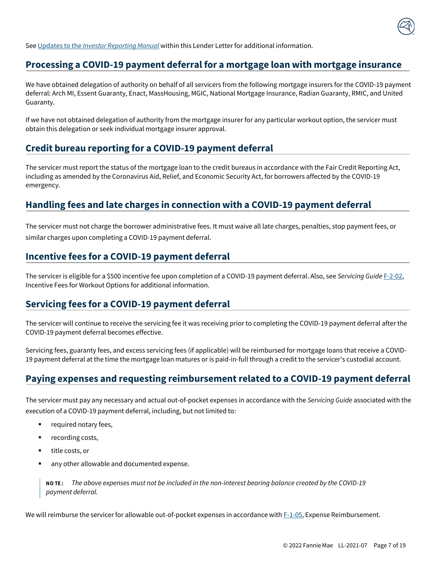

See Updates to the *Investor [Reporting](#page-21-0) Manual* within this Lender Letter for additional information.

#### **Processing a COVID-19 payment deferral for a mortgage loan with mortgage insurance**

We have obtained delegation of authority on behalf of all servicers from the following mortgage insurers for the COVID-19 payment deferral: Arch MI, Essent Guaranty, Enact, MassHousing, MGIC, National Mortgage Insurance, Radian Guaranty, RMIC, and United Guaranty.

If we have not obtained delegation of authority from the mortgage insurer for any particular workout option, the servicer must obtain this delegation or seek individual mortgage insurer approval.

#### **Credit bureau reporting for a COVID-19 payment deferral**

The servicer must report the status of the mortgage loan to the credit bureaus in accordance with the Fair Credit Reporting Act, including as amended by the Coronavirus Aid, Relief, and Economic Security Act, for borrowers affected by the COVID-19 emergency.

#### **Handling fees and late charges in connection with a COVID-19 payment deferral**

The servicer must not charge the borrower administrative fees. It must waive all late charges, penalties, stop payment fees, or similar charges upon completing a COVID-19 payment deferral.

#### **Incentive fees for a COVID-19 payment deferral**

The servicer is eligible for a \$500 incentive fee upon completion of a COVID-19 payment deferral. Also, see *Servicing Guide* [F-2-02,](https://servicing-guide.fanniemae.com/THE-SERVICING-GUIDE/Part-F-Servicing-Guide-Procedures-Exhibits-Quick-Referen/Chapter-F-2-Exhibits/F-2-02-Incentive-Fees-for-Workout-Options/1045672441/F-2-02-Incentive-Fees-for-Workout-Options-12-09-2020.htm?searchtype=sf) Incentive Fees for Workout Options for additional information.

#### **Servicing fees for a COVID-19 payment deferral**

The servicer will continue to receive the servicing fee it was receiving prior to completing the COVID-19 payment deferral after the COVID-19 payment deferral becomes effective.

Servicing fees, guaranty fees, and excess servicing fees (if applicable) will be reimbursed for mortgage loans that receive a COVID-19 payment deferral at the time the mortgage loan matures or is paid-in-full through a credit to the servicer's custodial account.

#### **Paying expenses and requesting reimbursement related to a COVID-19 payment deferral**

The servicer must pay any necessary and actual out-of-pocket expenses in accordance with the *Servicing Guide* associated with the execution of a COVID-19 payment deferral, including, but not limited to:

- required notary fees,
- recording costs,
- title costs, or
- any other allowable and documented expense.

**NO TE :** *The above expenses must not be included in the non-interest bearing balance created by the COVID-19 payment deferral.*

We will reimburse the servicer for allowable out-of-pocket expenses in accordance with  $F-1-05$ , Expense Reimbursement.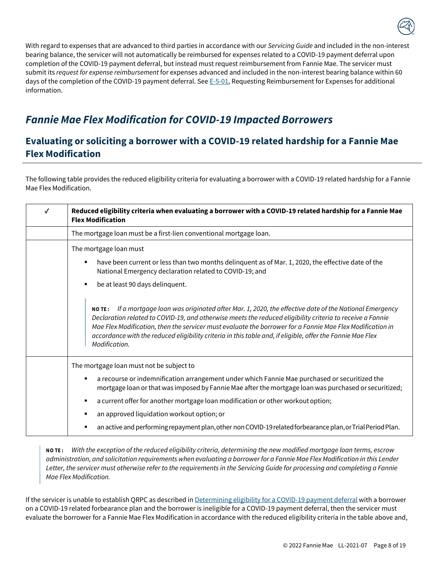

With regard to expenses that are advanced to third parties in accordance with our *Servicing Guide* and included in the non-interest bearing balance, the servicer will not automatically be reimbursed for expenses related to a COVID-19 payment deferral upon completion of the COVID-19 payment deferral, but instead must request reimbursement from Fannie Mae. The servicer must submit its *request for expense reimbursement* for expenses advanced and included in the non-interest bearing balance within 60 days of the completion of the COVID-19 payment deferral. Se[e E-5-01,](https://servicing-guide.fanniemae.com/THE-SERVICING-GUIDE/Part-E-Default-Related-Legal-Services-Bankruptcy-Foreclos/Chapter-E-5-Requesting-Reimbursement-for-Expenses/E-5-01-Requesting-Reimbursement-for-Expenses/1042826831/E-5-01-Requesting-Reimbursement-for-Expenses-11-09-2016.htm?SearchType=sf) Requesting Reimbursement for Expenses for additional information.

# <span id="page-16-0"></span>*Fannie Mae Flex Modification for COVID-19 Impacted Borrowers*

## <span id="page-16-1"></span>**Evaluating or soliciting a borrower with a COVID-19 related hardship for a Fannie Mae Flex Modification**

The following table provides the reduced eligibility criteria for evaluating a borrower with a COVID-19 related hardship for a Fannie Mae Flex Modification.

| ✓ | Reduced eligibility criteria when evaluating a borrower with a COVID-19 related hardship for a Fannie Mae<br><b>Flex Modification</b>                                                                                                                                                                                                                                                                                                                                       |  |
|---|-----------------------------------------------------------------------------------------------------------------------------------------------------------------------------------------------------------------------------------------------------------------------------------------------------------------------------------------------------------------------------------------------------------------------------------------------------------------------------|--|
|   | The mortgage loan must be a first-lien conventional mortgage loan.                                                                                                                                                                                                                                                                                                                                                                                                          |  |
|   | The mortgage loan must                                                                                                                                                                                                                                                                                                                                                                                                                                                      |  |
|   | have been current or less than two months delinquent as of Mar. 1, 2020, the effective date of the<br>п<br>National Emergency declaration related to COVID-19; and                                                                                                                                                                                                                                                                                                          |  |
|   | be at least 90 days delinquent.<br>٠                                                                                                                                                                                                                                                                                                                                                                                                                                        |  |
|   | If a mortgage loan was originated after Mar. 1, 2020, the effective date of the National Emergency<br><b>NOTE:</b><br>Declaration related to COVID-19, and otherwise meets the reduced eligibility criteria to receive a Fannie<br>Mae Flex Modification, then the servicer must evaluate the borrower for a Fannie Mae Flex Modification in<br>accordance with the reduced eligibility criteria in this table and, if eligible, offer the Fannie Mae Flex<br>Modification. |  |
|   | The mortgage loan must not be subject to                                                                                                                                                                                                                                                                                                                                                                                                                                    |  |
|   | a recourse or indemnification arrangement under which Fannie Mae purchased or securitized the<br>mortgage loan or that was imposed by Fannie Mae after the mortgage loan was purchased or securitized;                                                                                                                                                                                                                                                                      |  |
|   | a current offer for another mortgage loan modification or other workout option;<br>п                                                                                                                                                                                                                                                                                                                                                                                        |  |
|   | an approved liquidation workout option; or<br>п                                                                                                                                                                                                                                                                                                                                                                                                                             |  |
|   | an active and performing repayment plan, other non COVID-19 related forbearance plan, or Trial Period Plan.<br>п                                                                                                                                                                                                                                                                                                                                                            |  |

**NO TE :** *With the exception of the reduced eligibility criteria, determining the new modified mortgage loan terms, escrow* administration, and solicitation requirements when evaluating a borrower for a Fannie Mae Flex Modification in this Lender *Letter, the servicer must otherwise refer to the requirements in the Servicing Guide for processing and completing a Fannie Mae Flex Modification.*

If the servicer is unable to establish QRPC as described i[n Determining eligibility for a COVID-19 payment deferral](#page-9-1) with a borrower on a COVID-19 related forbearance plan and the borrower is ineligible for a COVID-19 payment deferral, then the servicer must evaluate the borrower for a Fannie Mae Flex Modification in accordance with the reduced eligibility criteria in the table above and,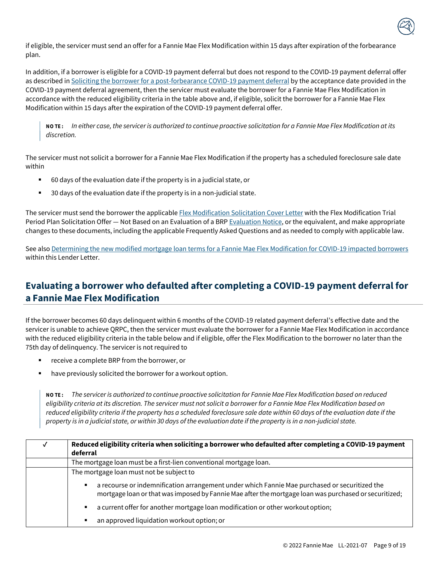

if eligible, the servicer must send an offer for a Fannie Mae Flex Modification within 15 days after expiration of the forbearance plan.

In addition, if a borrower is eligible for a COVID-19 payment deferral but does not respond to the COVID-19 payment deferral offer as described i[n Soliciting the borrower for a post-forbearance COVID-19 payment deferral](#page-13-0) by the acceptance date provided in the COVID-19 payment deferral agreement, then the servicer must evaluate the borrower for a Fannie Mae Flex Modification in accordance with the reduced eligibility criteria in the table above and, if eligible, solicit the borrower for a Fannie Mae Flex Modification within 15 days after the expiration of the COVID-19 payment deferral offer.

NOTE: In either case, the servicer is authorized to continue proactive solicitation for a Fannie Mae Flex Modification at its *discretion.*

The servicer must not solicit a borrower for a Fannie Mae Flex Modification if the property has a scheduled foreclosure sale date within

- 60 days of the evaluation date if the property is in a judicial state, or
- 30 days of the evaluation date if the property is in a non-judicial state.

The servicer must send the borrower the applicabl[e Flex Modification Solicitation Cover Letter](https://servicing-guide.fanniemae.com/THE-SERVICING-GUIDE/SVC-Guide-Exhibits/1208647921/FLEX-MODIFICATION-SOLICITATION-COVER-LETTERS-07-15-2020.htm#FLEX_MODIFICATION_SOLICITATION_COVER_LETTER) with the Flex Modification Trial Period Plan Solicitation Offer - Not Based on an Evaluation of a BR[P Evaluation Notice,](https://singlefamily.fanniemae.com/media/document/doc/evaluation-notices) or the equivalent, and make appropriate changes to these documents, including the applicable Frequently Asked Questions and as needed to comply with applicable law.

See als[o Determining the new modified mortgage loan terms for a Fannie Mae Flex Modification for COVID-19 impacted borrowers](#page-18-0) within this Lender Letter

## <span id="page-17-0"></span>**Evaluating a borrower who defaulted after completing a COVID-19 payment deferral for a Fannie Mae Flex Modification**

If the borrower becomes 60 days delinquent within 6 months of the COVID-19 related payment deferral's effective date and the servicer is unable to achieve QRPC, then the servicer must evaluate the borrower for a Fannie Mae Flex Modification in accordance with the reduced eligibility criteria in the table below and if eligible, offer the Flex Modification to the borrower no later than the 75th day of delinquency. The servicer is not required to

- receive a complete BRP from the borrower, or
- have previously solicited the borrower for a workout option.

NOTE: The servicer is authorized to continue proactive solicitation for Fannie Mae Flex Modification based on reduced *eligibility criteria at its discretion. The servicer must not solicit a borrower for a Fannie Mae Flex Modification based on reduced eligibility criteria if the property has a scheduled foreclosure sale date within 60 days of the evaluation date if the* property is in a judicial state, or within 30 days of the evaluation date if the property is in a non-judicial state.

| Reduced eligibility criteria when soliciting a borrower who defaulted after completing a COVID-19 payment<br>deferral                                                                                                    |
|--------------------------------------------------------------------------------------------------------------------------------------------------------------------------------------------------------------------------|
| The mortgage loan must be a first-lien conventional mortgage loan.                                                                                                                                                       |
| The mortgage loan must not be subject to                                                                                                                                                                                 |
| a recourse or indemnification arrangement under which Fannie Mae purchased or securitized the<br>$\blacksquare$<br>mortgage loan or that was imposed by Fannie Mae after the mortgage loan was purchased or securitized; |
| a current offer for another mortgage loan modification or other workout option;<br>$\blacksquare$                                                                                                                        |
| an approved liquidation workout option; or<br>٠                                                                                                                                                                          |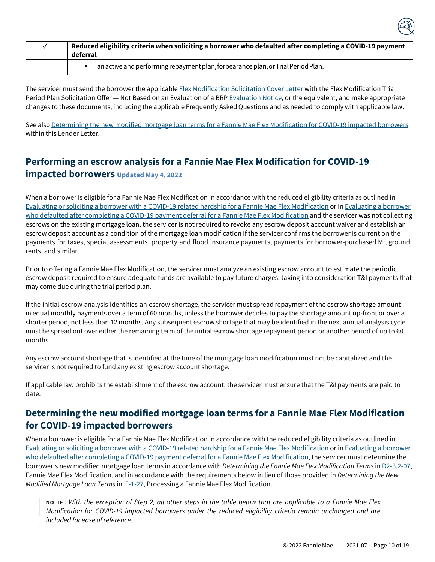| Reduced eligibility criteria when soliciting a borrower who defaulted after completing a COVID-19 payment<br>deferral |  |
|-----------------------------------------------------------------------------------------------------------------------|--|
| an active and performing repayment plan, forbearance plan, or Trial Period Plan.                                      |  |

The servicer must send the borrower the applicabl[e Flex Modification Solicitation Cover Letter](https://servicing-guide.fanniemae.com/THE-SERVICING-GUIDE/SVC-Guide-Exhibits/1208647921/FLEX-MODIFICATION-SOLICITATION-COVER-LETTERS-07-15-2020.htm#FLEX_MODIFICATION_SOLICITATION_COVER_LETTER) with the Flex Modification Trial Period Plan Solicitation Offer - Not Based on an Evaluation of a BR[P Evaluation Notice,](https://singlefamily.fanniemae.com/media/document/doc/evaluation-notices) or the equivalent, and make appropriate changes to these documents, including the applicable Frequently Asked Questions and as needed to comply with applicable law.

See als[o Determining the new modified mortgage loan terms for a Fannie Mae Flex Modification for COVID-19 impacted borrowers](#page-18-0) within this Lender Letter.

# **Performing an escrow analysis for a Fannie Mae Flex Modification for COVID-19**

**impacted borrowers Updated May 4, 2022**

When a borrower is eligible for a Fannie Mae Flex Modification in accordance with the reduced eligibility criteria as outlined in [Evaluating or soliciting a borrower with a COVID-19 related hardship for a Fannie Mae Flex Modification](#page-16-1) or i[n Evaluating a borrower](#page-17-0) [who defaulted after completing a COVID-19 payment deferral for a Fannie Mae Flex Modification](#page-17-0) and the servicer was not collecting escrows on the existing mortgage loan, the servicer is not required to revoke any escrow deposit account waiver and establish an escrow deposit account as a condition of the mortgage loan modification if the servicer confirms the borrower is current on the payments for taxes, special assessments, property and flood insurance payments, payments for borrower-purchased MI, ground rents, and similar.

Prior to offering a Fannie Mae Flex Modification, the servicer must analyze an existing escrow account to estimate the periodic escrow deposit required to ensure adequate funds are available to pay future charges, taking into consideration T&I payments that may come due during the trial period plan.

If the initial escrow analysis identifies an escrow shortage, the servicer must spread repayment of the escrow shortage amount in equal monthly payments over a term of 60 months, unless the borrower decides to pay the shortage amount up-front or over a shorter period, not less than 12 months. Any subsequent escrow shortage that may be identified in the next annual analysis cycle must be spread out over either the remaining term of the initial escrow shortage repayment period or another period of up to 60 months.

Any escrow account shortage that is identified at the time of the mortgage loan modification must not be capitalized and the servicer is not required to fund any existing escrow account shortage.

If applicable law prohibits the establishment of the escrow account, the servicer must ensure that the T&I payments are paid to date.

## <span id="page-18-0"></span>**Determining the new modified mortgage loan terms for a Fannie Mae Flex Modification for COVID-19 impacted borrowers**

When a borrower is eligible for a Fannie Mae Flex Modification in accordance with the reduced eligibility criteria as outlined in [Evaluating or soliciting a borrower with a COVID-19 related hardship for a Fannie Mae Flex Modification](#page-16-1) or i[n Evaluating a borrower](#page-17-0) [who defaulted after completing a COVID-19 payment deferral for a Fannie Mae Flex Modification, t](#page-17-0)he servicer must determine the borrower's new modified mortgage loan terms in accordance with *Determining the Fannie Mae Flex Modification Terms* i[n D2-3.2-07,](https://servicing-guide.fanniemae.com/THE-SERVICING-GUIDE/Part-D-Providing-Solutions-to-a-Borrower/Subpart-D2-Assisting-a-Borrower-Who-is-Facing-Default-or/Chapter-D2-3-Fannie-Mae-s-Home-Retention-and-Liquidation/Section-D2-3-2-Home-Retention-Workout-Options/D2-3-2-07-Fannie-Mae-Flex-Modification/1042575201/D2-3-2-07-Fannie-Mae-Flex-Modification-09-09-2020.htm#Determining.20the.20Fannie.20Mae.20Flex.20Modification.20Terms) Fannie Mae Flex Modification, and in accordance with the requirements below in lieu of those provided in *Determining the New Modified Mortgage Loan Terms* in **F-1-27**, Processing a Fannie Mae Flex Modification.

**NO TE :** *With the exception of Step 2, all other steps in the table below that are applicable to a Fannie Mae Flex Modification for COVID-19 impacted borrowers under the reduced eligibility criteria remain unchanged and are included for ease of reference.*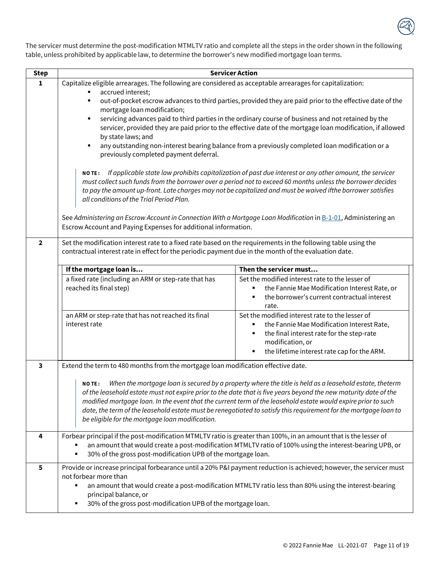

The servicer must determine the post-modification MTMLTV ratio and complete all the steps in the order shown in the following table, unless prohibited by applicable law, to determine the borrower's new modified mortgage loan terms.

| <b>Step</b>    | <b>Servicer Action</b>                                                                                                                                                                                                                                                                                                                                                                                                                                                                                                                                                                                                                                                                                                                                                                                                                                                                                                                                                                                                                                                                  |                                                                                                                                                                                                               |
|----------------|-----------------------------------------------------------------------------------------------------------------------------------------------------------------------------------------------------------------------------------------------------------------------------------------------------------------------------------------------------------------------------------------------------------------------------------------------------------------------------------------------------------------------------------------------------------------------------------------------------------------------------------------------------------------------------------------------------------------------------------------------------------------------------------------------------------------------------------------------------------------------------------------------------------------------------------------------------------------------------------------------------------------------------------------------------------------------------------------|---------------------------------------------------------------------------------------------------------------------------------------------------------------------------------------------------------------|
| 1              | Capitalize eligible arrearages. The following are considered as acceptable arrearages for capitalization:                                                                                                                                                                                                                                                                                                                                                                                                                                                                                                                                                                                                                                                                                                                                                                                                                                                                                                                                                                               |                                                                                                                                                                                                               |
|                | accrued interest;<br>out-of-pocket escrow advances to third parties, provided they are paid prior to the effective date of the<br>mortgage loan modification;<br>servicing advances paid to third parties in the ordinary course of business and not retained by the<br>٠<br>servicer, provided they are paid prior to the effective date of the mortgage loan modification, if allowed<br>by state laws; and<br>any outstanding non-interest bearing balance from a previously completed loan modification or a<br>٠<br>previously completed payment deferral.<br>If applicable state law prohibits capitalization of past due interest or any other amount, the servicer<br><b>NOTE:</b><br>must collect such funds from the borrower over a period not to exceed 60 months unless the borrower decides<br>to pay the amount up-front. Late charges may not be capitalized and must be waived ifthe borrower satisfies<br>all conditions of the Trial Period Plan.<br>See Administering an Escrow Account in Connection With a Mortgage Loan Modification in B-1-01, Administering an |                                                                                                                                                                                                               |
|                | Escrow Account and Paying Expenses for additional information.                                                                                                                                                                                                                                                                                                                                                                                                                                                                                                                                                                                                                                                                                                                                                                                                                                                                                                                                                                                                                          |                                                                                                                                                                                                               |
| $\overline{2}$ | Set the modification interest rate to a fixed rate based on the requirements in the following table using the<br>contractual interest rate in effect for the periodic payment due in the month of the evaluation date.                                                                                                                                                                                                                                                                                                                                                                                                                                                                                                                                                                                                                                                                                                                                                                                                                                                                  |                                                                                                                                                                                                               |
|                | If the mortgage loan is                                                                                                                                                                                                                                                                                                                                                                                                                                                                                                                                                                                                                                                                                                                                                                                                                                                                                                                                                                                                                                                                 | Then the servicer must                                                                                                                                                                                        |
|                | a fixed rate (including an ARM or step-rate that has<br>reached its final step)                                                                                                                                                                                                                                                                                                                                                                                                                                                                                                                                                                                                                                                                                                                                                                                                                                                                                                                                                                                                         | Set the modified interest rate to the lesser of<br>the Fannie Mae Modification Interest Rate, or<br>the borrower's current contractual interest<br>rate.                                                      |
|                | an ARM or step-rate that has not reached its final<br>interest rate                                                                                                                                                                                                                                                                                                                                                                                                                                                                                                                                                                                                                                                                                                                                                                                                                                                                                                                                                                                                                     | Set the modified interest rate to the lesser of<br>the Fannie Mae Modification Interest Rate,<br>the final interest rate for the step-rate<br>modification, or<br>the lifetime interest rate cap for the ARM. |
| 3              | Extend the term to 480 months from the mortgage loan modification effective date.                                                                                                                                                                                                                                                                                                                                                                                                                                                                                                                                                                                                                                                                                                                                                                                                                                                                                                                                                                                                       |                                                                                                                                                                                                               |
|                | NO TE: When the mortgage loan is secured by a property where the title is held as a leasehold estate, theterm<br>of the leasehold estate must not expire prior to the date that is five years beyond the new maturity date of the<br>modified mortgage loan. In the event that the current term of the leasehold estate would expire prior to such<br>date, the term of the leasehold estate must be renegotiated to satisfy this requirement for the mortgage loan to<br>be eligible for the mortgage loan modification.                                                                                                                                                                                                                                                                                                                                                                                                                                                                                                                                                               |                                                                                                                                                                                                               |
| 4              | Forbear principal if the post-modification MTMLTV ratio is greater than 100%, in an amount that is the lesser of<br>30% of the gross post-modification UPB of the mortgage loan.                                                                                                                                                                                                                                                                                                                                                                                                                                                                                                                                                                                                                                                                                                                                                                                                                                                                                                        | an amount that would create a post-modification MTMLTV ratio of 100% using the interest-bearing UPB, or                                                                                                       |
| 5              | Provide or increase principal forbearance until a 20% P&I payment reduction is achieved; however, the servicer must<br>not forbear more than<br>an amount that would create a post-modification MTMLTV ratio less than 80% using the interest-bearing<br>principal balance, or<br>30% of the gross post-modification UPB of the mortgage loan.                                                                                                                                                                                                                                                                                                                                                                                                                                                                                                                                                                                                                                                                                                                                          |                                                                                                                                                                                                               |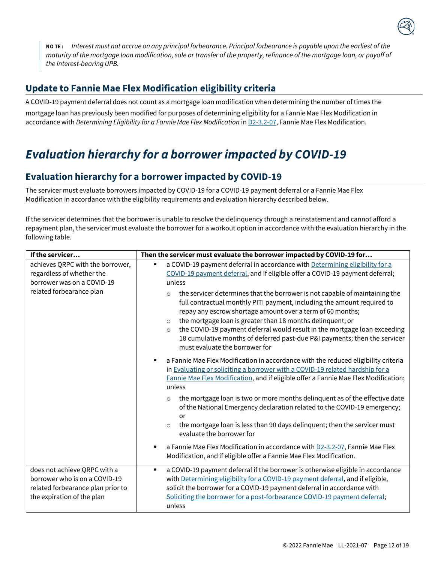

NOTE: Interest must not accrue on any principal forbearance. Principal forbearance is payable upon the earliest of the *maturity of the mortgage loan modification, sale or transfer of the property, refinance of the mortgage loan, or payoff of the interest-bearing UPB.*

## **Update to Fannie Mae Flex Modification eligibility criteria**

A COVID-19 payment deferral does not count as a mortgage loan modification when determining the number of times the mortgage loan has previously been modified for purposes of determining eligibility for a Fannie Mae Flex Modification in accordance with *Determining Eligibility for a Fannie Mae Flex Modification* in [D2-3.2-07,](https://servicing-guide.fanniemae.com/THE-SERVICING-GUIDE/Part-D-Providing-Solutions-to-a-Borrower/Subpart-D2-Assisting-a-Borrower-Who-is-Facing-Default-or/Chapter-D2-3-Fannie-Mae-s-Home-Retention-and-Liquidation/Section-D2-3-2-Home-Retention-Workout-Options/D2-3-2-07-Fannie-Mae-Flex-Modification/1042575201/D2-3-2-07-Fannie-Mae-Flex-Modification-09-09-2020.htm?touchpoint=guide%3FSearchType%3Dsf) Fannie Mae Flex Modification.

# <span id="page-20-0"></span>*Evaluation hierarchy for a borrower impacted by COVID-19*

### **Evaluation hierarchy for a borrowerimpacted by COVID-19**

The servicer must evaluate borrowers impacted by COVID-19 for a COVID-19 payment deferral or a Fannie Mae Flex Modification in accordance with the eligibility requirements and evaluation hierarchy described below.

If the servicer determines that the borrower is unable to resolve the delinquency through a reinstatement and cannot afford a repayment plan, the servicer must evaluate the borrower for a workout option in accordance with the evaluation hierarchy in the following table.

| If the servicer                                                                                                                  | Then the servicer must evaluate the borrower impacted by COVID-19 for                                                                                                                                                                                                                                                                                                                                                                                                                                                                                                                                                                                                                           |  |
|----------------------------------------------------------------------------------------------------------------------------------|-------------------------------------------------------------------------------------------------------------------------------------------------------------------------------------------------------------------------------------------------------------------------------------------------------------------------------------------------------------------------------------------------------------------------------------------------------------------------------------------------------------------------------------------------------------------------------------------------------------------------------------------------------------------------------------------------|--|
| achieves QRPC with the borrower,<br>regardless of whether the<br>borrower was on a COVID-19<br>related forbearance plan          | a COVID-19 payment deferral in accordance with Determining eligibility for a<br>٠<br>COVID-19 payment deferral, and if eligible offer a COVID-19 payment deferral;<br>unless<br>the servicer determines that the borrower is not capable of maintaining the<br>$\circ$<br>full contractual monthly PITI payment, including the amount required to<br>repay any escrow shortage amount over a term of 60 months;<br>the mortgage loan is greater than 18 months delinquent; or<br>$\circ$<br>the COVID-19 payment deferral would result in the mortgage loan exceeding<br>$\circ$<br>18 cumulative months of deferred past-due P&I payments; then the servicer<br>must evaluate the borrower for |  |
|                                                                                                                                  | a Fannie Mae Flex Modification in accordance with the reduced eligibility criteria<br>٠<br>in Evaluating or soliciting a borrower with a COVID-19 related hardship for a<br>Fannie Mae Flex Modification, and if eligible offer a Fannie Mae Flex Modification;<br>unless<br>the mortgage loan is two or more months delinquent as of the effective date<br>$\circ$<br>of the National Emergency declaration related to the COVID-19 emergency;<br>or<br>the mortgage loan is less than 90 days delinquent; then the servicer must<br>$\circ$<br>evaluate the borrower for                                                                                                                      |  |
|                                                                                                                                  | a Fannie Mae Flex Modification in accordance with D2-3.2-07, Fannie Mae Flex<br>٠<br>Modification, and if eligible offer a Fannie Mae Flex Modification.                                                                                                                                                                                                                                                                                                                                                                                                                                                                                                                                        |  |
| does not achieve QRPC with a<br>borrower who is on a COVID-19<br>related forbearance plan prior to<br>the expiration of the plan | a COVID-19 payment deferral if the borrower is otherwise eligible in accordance<br>$\blacksquare$<br>with Determining eligibility for a COVID-19 payment deferral, and if eligible,<br>solicit the borrower for a COVID-19 payment deferral in accordance with<br>Soliciting the borrower for a post-forbearance COVID-19 payment deferral;<br>unless                                                                                                                                                                                                                                                                                                                                           |  |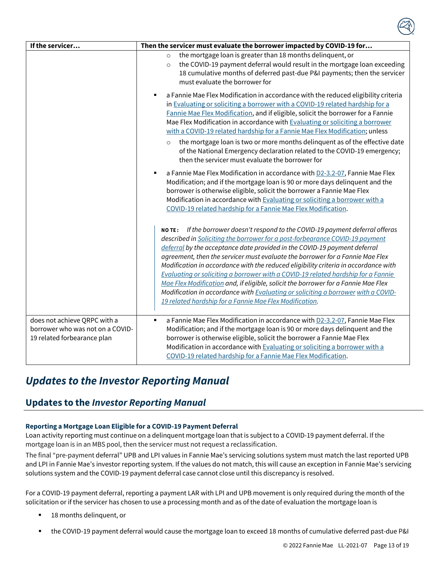| If the servicer                                                                                 | Then the servicer must evaluate the borrower impacted by COVID-19 for                                                                                                                                                                                                                                                                                                                                                                                                                                                                                                                                                                                                                                                                                    |  |
|-------------------------------------------------------------------------------------------------|----------------------------------------------------------------------------------------------------------------------------------------------------------------------------------------------------------------------------------------------------------------------------------------------------------------------------------------------------------------------------------------------------------------------------------------------------------------------------------------------------------------------------------------------------------------------------------------------------------------------------------------------------------------------------------------------------------------------------------------------------------|--|
|                                                                                                 | the mortgage loan is greater than 18 months delinquent, or<br>$\circ$<br>the COVID-19 payment deferral would result in the mortgage loan exceeding<br>$\circ$<br>18 cumulative months of deferred past-due P&I payments; then the servicer<br>must evaluate the borrower for                                                                                                                                                                                                                                                                                                                                                                                                                                                                             |  |
|                                                                                                 | a Fannie Mae Flex Modification in accordance with the reduced eligibility criteria<br>٠<br>in Evaluating or soliciting a borrower with a COVID-19 related hardship for a<br>Fannie Mae Flex Modification, and if eligible, solicit the borrower for a Fannie<br>Mae Flex Modification in accordance with Evaluating or soliciting a borrower<br>with a COVID-19 related hardship for a Fannie Mae Flex Modification; unless                                                                                                                                                                                                                                                                                                                              |  |
|                                                                                                 | the mortgage loan is two or more months delinquent as of the effective date<br>$\circ$<br>of the National Emergency declaration related to the COVID-19 emergency;<br>then the servicer must evaluate the borrower for                                                                                                                                                                                                                                                                                                                                                                                                                                                                                                                                   |  |
|                                                                                                 | a Fannie Mae Flex Modification in accordance with D2-3.2-07, Fannie Mae Flex<br>٠<br>Modification; and if the mortgage loan is 90 or more days delinquent and the<br>borrower is otherwise eligible, solicit the borrower a Fannie Mae Flex<br>Modification in accordance with Evaluating or soliciting a borrower with a<br>COVID-19 related hardship for a Fannie Mae Flex Modification.                                                                                                                                                                                                                                                                                                                                                               |  |
|                                                                                                 | If the borrower doesn't respond to the COVID-19 payment deferral offeras<br><b>NOTE:</b><br>described in Soliciting the borrower for a post-forbearance COVID-19 payment<br>deferral by the acceptance date provided in the COVID-19 payment deferral<br>agreement, then the servicer must evaluate the borrower for a Fannie Mae Flex<br>Modification in accordance with the reduced eligibility criteria in accordance with<br>Evaluating or soliciting a borrower with a COVID-19 related hardship for a Fannie<br>Mae Flex Modification and, if eligible, solicit the borrower for a Fannie Mae Flex<br>Modification in accordance with Evaluating or soliciting a borrower with a COVID-<br>19 related hardship for a Fannie Mae Flex Modification. |  |
| does not achieve QRPC with a<br>borrower who was not on a COVID-<br>19 related forbearance plan | a Fannie Mae Flex Modification in accordance with D2-3.2-07, Fannie Mae Flex<br>$\blacksquare$<br>Modification; and if the mortgage loan is 90 or more days delinquent and the<br>borrower is otherwise eligible, solicit the borrower a Fannie Mae Flex<br>Modification in accordance with Evaluating or soliciting a borrower with a<br>COVID-19 related hardship for a Fannie Mae Flex Modification.                                                                                                                                                                                                                                                                                                                                                  |  |

# <span id="page-21-0"></span>*Updates to the Investor Reporting Manual*

## **Updates to the** *Investor Reporting Manual*

#### **Reporting a Mortgage Loan Eligible for a COVID-19 Payment Deferral**

Loan activity reporting must continue on a delinquent mortgage loan that is subject to a COVID-19 payment deferral. If the mortgage loan is in an MBS pool, then the servicer must not request a reclassification.

The final "pre-payment deferral" UPB and LPI values in Fannie Mae's servicing solutions system must match the last reported UPB and LPI in Fannie Mae's investor reporting system. If the values do not match, this will cause an exception in Fannie Mae's servicing solutions system and the COVID-19 payment deferral case cannot close until this discrepancy is resolved.

For a COVID-19 payment deferral, reporting a payment LAR with LPI and UPB movement is only required during the month of the solicitation or if the servicer has chosen to use a processing month and as of the date of evaluation the mortgage loan is

- 18 months delinquent, or
- the COVID-19 payment deferral would cause the mortgage loan to exceed 18 months of cumulative deferred past-due P&I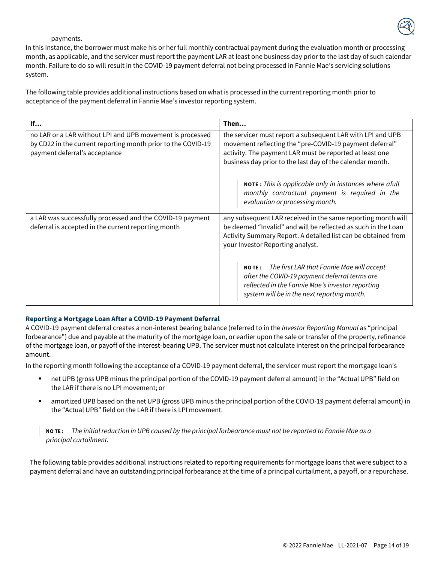

#### payments.

In this instance, the borrower must make his or her full monthly contractual payment during the evaluation month or processing month, as applicable, and the servicer must report the payment LAR at least one business day prior to the last day of such calendar month. Failure to do so will result in the COVID-19 payment deferral not being processed in Fannie Mae's servicing solutions system.

The following table provides additional instructions based on what is processed in the current reporting month prior to acceptance of the payment deferral in Fannie Mae's investor reporting system.

| If                                                                                                                                                         | Then                                                                                                                                                                                                                                          |
|------------------------------------------------------------------------------------------------------------------------------------------------------------|-----------------------------------------------------------------------------------------------------------------------------------------------------------------------------------------------------------------------------------------------|
| no LAR or a LAR without LPI and UPB movement is processed<br>by CD22 in the current reporting month prior to the COVID-19<br>payment deferral's acceptance | the servicer must report a subsequent LAR with LPI and UPB<br>movement reflecting the "pre-COVID-19 payment deferral"<br>activity. The payment LAR must be reported at least one<br>business day prior to the last day of the calendar month. |
|                                                                                                                                                            | NOTE: This is applicable only in instances where afull<br>monthly contractual payment is required in the<br>evaluation or processing month.                                                                                                   |
| a LAR was successfully processed and the COVID-19 payment<br>deferral is accepted in the current reporting month                                           | any subsequent LAR received in the same reporting month will<br>be deemed "Invalid" and will be reflected as such in the Loan<br>Activity Summary Report. A detailed list can be obtained from<br>your Investor Reporting analyst.            |
|                                                                                                                                                            | The first LAR that Fannie Mae will accept<br><b>NOTE:</b><br>after the COVID-19 payment deferral terms are<br>reflected in the Fannie Mae's investor reporting<br>system will be in the next reporting month.                                 |

#### **Reporting a Mortgage Loan After a COVID-19 Payment Deferral**

A COVID-19 payment deferral creates a non-interest bearing balance (referred to in the *Investor Reporting Manual* as "principal forbearance") due and payable at the maturity of the mortgage loan, or earlier upon the sale or transfer of the property, refinance of the mortgage loan, or payoff of the interest-bearing UPB. The servicer must not calculate interest on the principal forbearance amount.

In the reporting month following the acceptance of a COVID-19 payment deferral, the servicer must report the mortgage loan's

- net UPB (gross UPB minus the principal portion of the COVID-19 payment deferral amount) in the "Actual UPB" field on the LAR if there is no LPI movement; or
- amortized UPB based on the net UPB (gross UPB minus the principal portion of the COVID-19 payment deferral amount) in the "Actual UPB" field on the LAR if there is LPI movement.

NOTE: The initial reduction in UPB caused by the principal forbearance must not be reported to Fannie Mae as a *principal curtailment.*

The following table provides additional instructions related to reporting requirements for mortgage loans that were subject to a payment deferral and have an outstanding principal forbearance at the time of a principal curtailment, a payoff, or a repurchase.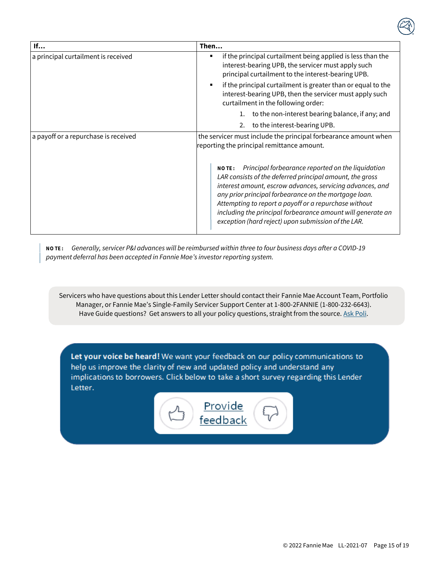| If                                   | Then                                                                                                                                                                                                                                                                                                                                                                                                                               |
|--------------------------------------|------------------------------------------------------------------------------------------------------------------------------------------------------------------------------------------------------------------------------------------------------------------------------------------------------------------------------------------------------------------------------------------------------------------------------------|
| a principal curtailment is received  | if the principal curtailment being applied is less than the<br>٠<br>interest-bearing UPB, the servicer must apply such<br>principal curtailment to the interest-bearing UPB.                                                                                                                                                                                                                                                       |
|                                      | if the principal curtailment is greater than or equal to the<br>interest-bearing UPB, then the servicer must apply such<br>curtailment in the following order:                                                                                                                                                                                                                                                                     |
|                                      | to the non-interest bearing balance, if any; and                                                                                                                                                                                                                                                                                                                                                                                   |
|                                      | to the interest-bearing UPB.<br>2.                                                                                                                                                                                                                                                                                                                                                                                                 |
| a payoff or a repurchase is received | the servicer must include the principal forbearance amount when<br>reporting the principal remittance amount.                                                                                                                                                                                                                                                                                                                      |
|                                      | Principal forbearance reported on the liquidation<br><b>NOTE:</b><br>LAR consists of the deferred principal amount, the gross<br>interest amount, escrow advances, servicing advances, and<br>any prior principal forbearance on the mortgage loan.<br>Attempting to report a payoff or a repurchase without<br>including the principal forbearance amount will generate an<br>exception (hard reject) upon submission of the LAR. |

NOTE: Generally, servicer P&I advances will be reimbursed within three to four business days after a COVID-19 *payment deferral has been accepted in Fannie Mae's investor reporting system.*

<span id="page-23-0"></span>Servicers who have questions about this Lender Letter should contact their Fannie Mae Account Team, Portfolio Manager, or Fannie Mae's Single-Family Servicer Support Center at 1-800-2FANNIE (1-800-232-6643). Have Guide questions? Get answers to all your policy questions, straight from the source. Ask [Poli.](https://askpoli.fanniemae.com/?guideType=Servicing&_ga=2.39744419.183221993.1590588944-635827362.1590588944)

Let your voice be heard! We want your feedback on our policy communications to help us improve the clarity of new and updated policy and understand any implications to borrowers. Click below to take a short survey regarding this Lender Letter.

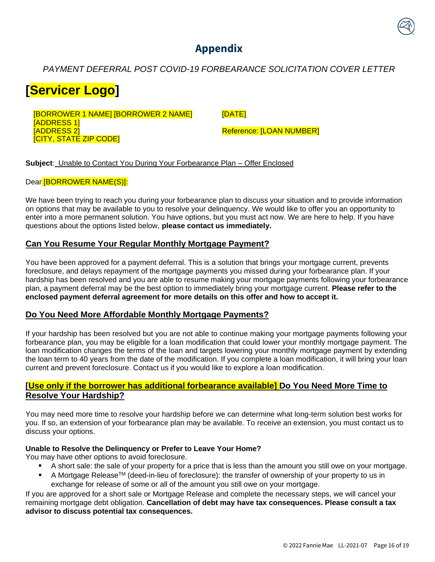# **Appendix**

<span id="page-24-0"></span>*PAYMENT DEFERRAL POST COVID-19 FORBEARANCE SOLICITATION COVER LETTER*

# **[Servicer Logo]**

[BORROWER 1 NAME] [BORROWER 2 NAME] [ADDRESS 1] [ADDRESS 2] [CITY, STATE ZIP CODE]

[DATE]

Reference: [LOAN NUMBER]

**Subject**: Unable to Contact You During Your Forbearance Plan – Offer Enclosed

Dear [BORROWER NAME(S)]:

We have been trying to reach you during your forbearance plan to discuss your situation and to provide information on options that may be available to you to resolve your delinquency. We would like to offer you an opportunity to enter into a more permanent solution. You have options, but you must act now. We are here to help. If you have questions about the options listed below, **please contact us immediately.**

#### **Can You Resume Your Regular Monthly Mortgage Payment?**

You have been approved for a payment deferral. This is a solution that brings your mortgage current, prevents foreclosure, and delays repayment of the mortgage payments you missed during your forbearance plan. If your hardship has been resolved and you are able to resume making your mortgage payments following your forbearance plan, a payment deferral may be the best option to immediately bring your mortgage current. **Please refer to the enclosed payment deferral agreement for more details on this offer and how to accept it.**

#### **Do You Need More Affordable Monthly Mortgage Payments?**

If your hardship has been resolved but you are not able to continue making your mortgage payments following your forbearance plan, you may be eligible for a loan modification that could lower your monthly mortgage payment. The loan modification changes the terms of the loan and targets lowering your monthly mortgage payment by extending the loan term to 40 years from the date of the modification. If you complete a loan modification, it will bring your loan current and prevent foreclosure. Contact us if you would like to explore a loan modification.

#### **[Use only if the borrower has additional forbearance available] Do You Need More Time to Resolve Your Hardship?**

You may need more time to resolve your hardship before we can determine what long-term solution best works for you. If so, an extension of your forbearance plan may be available. To receive an extension, you must contact us to discuss your options.

#### **Unable to Resolve the Delinquency or Prefer to Leave Your Home?**

You may have other options to avoid foreclosure.

- A short sale: the sale of your property for a price that is less than the amount you still owe on your mortgage.
- A Mortgage Release<sup>™</sup> (deed-in-lieu of foreclosure): the transfer of ownership of your property to us in exchange for release of some or all of the amount you still owe on your mortgage.

If you are approved for a short sale or Mortgage Release and complete the necessary steps, we will cancel your remaining mortgage debt obligation. **Cancellation of debt may have tax consequences. Please consult a tax advisor to discuss potential tax consequences.**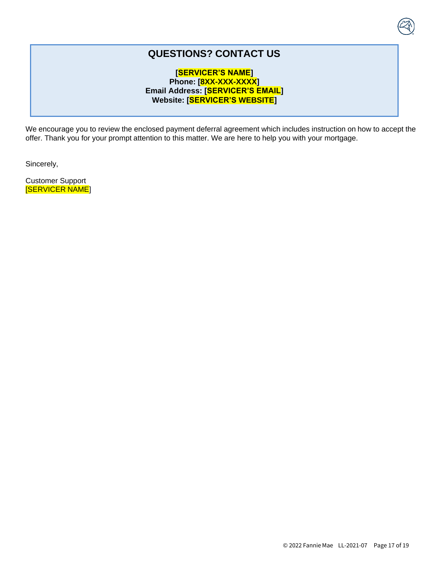## **QUESTIONS? CONTACT US**

#### **[SERVICER'S NAME] Phone: [8XX-XXX-XXXX] Email Address: [SERVICER'S EMAIL] Website: [SERVICER'S WEBSITE]**

We encourage you to review the enclosed payment deferral agreement which includes instruction on how to accept the offer. Thank you for your prompt attention to this matter. We are here to help you with your mortgage.

Sincerely,

Customer Support [SERVICER NAME]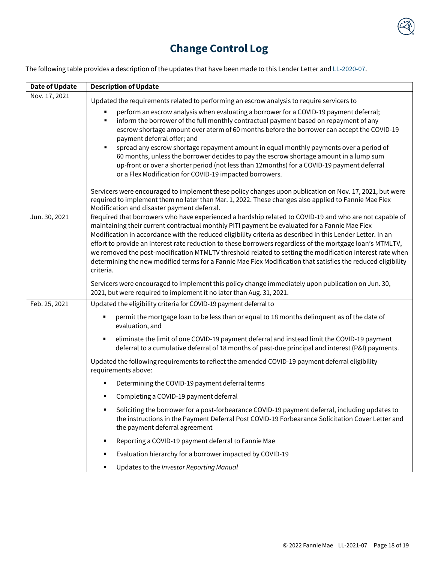# **Change Control Log**

<span id="page-26-0"></span>The following table provides a description of the updates that have been made to this Lender Letter and [LL-2020-07.](https://singlefamily.fanniemae.com/media/document/pdf/lender-letter-ll-2020-07-covid-19-payment-deferral)

| <b>Date of Update</b> | <b>Description of Update</b>                                                                                                                                                                                                                                                                                                                                                                                                                                                                                                                                                                                                                                                |
|-----------------------|-----------------------------------------------------------------------------------------------------------------------------------------------------------------------------------------------------------------------------------------------------------------------------------------------------------------------------------------------------------------------------------------------------------------------------------------------------------------------------------------------------------------------------------------------------------------------------------------------------------------------------------------------------------------------------|
| Nov. 17, 2021         | Updated the requirements related to performing an escrow analysis to require servicers to                                                                                                                                                                                                                                                                                                                                                                                                                                                                                                                                                                                   |
|                       | perform an escrow analysis when evaluating a borrower for a COVID-19 payment deferral;<br>inform the borrower of the full monthly contractual payment based on repayment of any<br>٠<br>escrow shortage amount over aterm of 60 months before the borrower can accept the COVID-19<br>payment deferral offer; and<br>spread any escrow shortage repayment amount in equal monthly payments over a period of<br>٠<br>60 months, unless the borrower decides to pay the escrow shortage amount in a lump sum<br>up-front or over a shorter period (not less than 12months) for a COVID-19 payment deferral<br>or a Flex Modification for COVID-19 impacted borrowers.         |
|                       | Servicers were encouraged to implement these policy changes upon publication on Nov. 17, 2021, but were<br>required to implement them no later than Mar. 1, 2022. These changes also applied to Fannie Mae Flex<br>Modification and disaster payment deferral.                                                                                                                                                                                                                                                                                                                                                                                                              |
| Jun. 30, 2021         | Required that borrowers who have experienced a hardship related to COVID-19 and who are not capable of<br>maintaining their current contractual monthly PITI payment be evaluated for a Fannie Mae Flex<br>Modification in accordance with the reduced eligibility criteria as described in this Lender Letter. In an<br>effort to provide an interest rate reduction to these borrowers regardless of the mortgage loan's MTMLTV,<br>we removed the post-modification MTMLTV threshold related to setting the modification interest rate when<br>determining the new modified terms for a Fannie Mae Flex Modification that satisfies the reduced eligibility<br>criteria. |
|                       | Servicers were encouraged to implement this policy change immediately upon publication on Jun. 30,<br>2021, but were required to implement it no later than Aug. 31, 2021.                                                                                                                                                                                                                                                                                                                                                                                                                                                                                                  |
| Feb. 25, 2021         | Updated the eligibility criteria for COVID-19 payment deferral to                                                                                                                                                                                                                                                                                                                                                                                                                                                                                                                                                                                                           |
|                       | permit the mortgage loan to be less than or equal to 18 months delinquent as of the date of<br>evaluation, and                                                                                                                                                                                                                                                                                                                                                                                                                                                                                                                                                              |
|                       | eliminate the limit of one COVID-19 payment deferral and instead limit the COVID-19 payment<br>٠<br>deferral to a cumulative deferral of 18 months of past-due principal and interest (P&I) payments.                                                                                                                                                                                                                                                                                                                                                                                                                                                                       |
|                       | Updated the following requirements to reflect the amended COVID-19 payment deferral eligibility<br>requirements above:                                                                                                                                                                                                                                                                                                                                                                                                                                                                                                                                                      |
|                       | Determining the COVID-19 payment deferral terms                                                                                                                                                                                                                                                                                                                                                                                                                                                                                                                                                                                                                             |
|                       | Completing a COVID-19 payment deferral                                                                                                                                                                                                                                                                                                                                                                                                                                                                                                                                                                                                                                      |
|                       | Soliciting the borrower for a post-forbearance COVID-19 payment deferral, including updates to<br>٠<br>the instructions in the Payment Deferral Post COVID-19 Forbearance Solicitation Cover Letter and<br>the payment deferral agreement                                                                                                                                                                                                                                                                                                                                                                                                                                   |
|                       | Reporting a COVID-19 payment deferral to Fannie Mae<br>٠                                                                                                                                                                                                                                                                                                                                                                                                                                                                                                                                                                                                                    |
|                       | Evaluation hierarchy for a borrower impacted by COVID-19<br>٠                                                                                                                                                                                                                                                                                                                                                                                                                                                                                                                                                                                                               |
|                       | Updates to the Investor Reporting Manual<br>٠                                                                                                                                                                                                                                                                                                                                                                                                                                                                                                                                                                                                                               |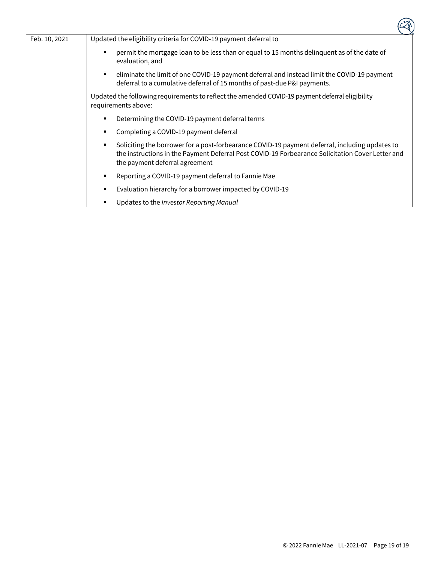| Feb. 10, 2021 | Updated the eligibility criteria for COVID-19 payment deferral to                                                                                                                                                                    |
|---------------|--------------------------------------------------------------------------------------------------------------------------------------------------------------------------------------------------------------------------------------|
|               | permit the mortgage loan to be less than or equal to 15 months delinguent as of the date of<br>evaluation, and                                                                                                                       |
|               | eliminate the limit of one COVID-19 payment deferral and instead limit the COVID-19 payment<br>deferral to a cumulative deferral of 15 months of past-due P&I payments.                                                              |
|               | Updated the following requirements to reflect the amended COVID-19 payment deferral eligibility<br>requirements above:                                                                                                               |
|               | Determining the COVID-19 payment deferral terms                                                                                                                                                                                      |
|               | Completing a COVID-19 payment deferral                                                                                                                                                                                               |
|               | Soliciting the borrower for a post-forbearance COVID-19 payment deferral, including updates to<br>the instructions in the Payment Deferral Post COVID-19 Forbearance Solicitation Cover Letter and<br>the payment deferral agreement |
|               | Reporting a COVID-19 payment deferral to Fannie Mae                                                                                                                                                                                  |
|               | Evaluation hierarchy for a borrower impacted by COVID-19                                                                                                                                                                             |
|               | Updates to the Investor Reporting Manual                                                                                                                                                                                             |